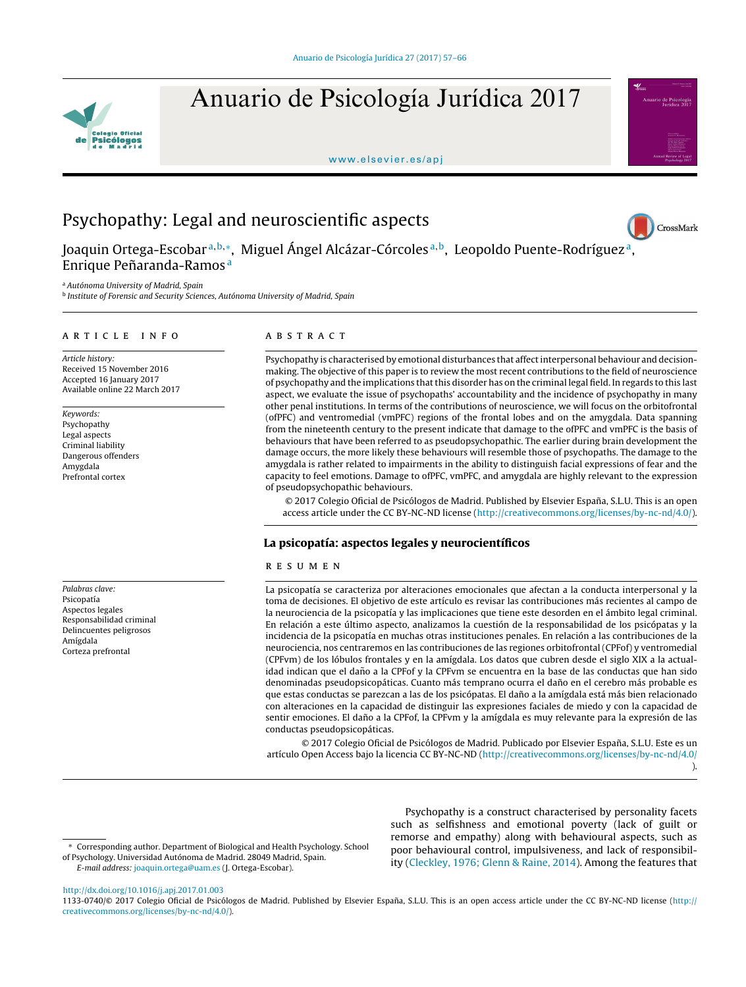

Anuario de Psicología Jurídica 2017

<www.elsevier.es/apj>



# Psychopathy: Legal and neuroscientific aspects



Joaquin Ortega-Escobarª<sup>,b,</sup>\*, Miguel Ángel Alcázar-Córcolesª<sup>,b</sup>, Leopoldo Puente-Rodríguezª, Enrique Peñaranda-Ramos<sup>a</sup>

<sup>a</sup> Autónoma University of Madrid, Spain

<sup>b</sup> Institute of Forensic and Security Sciences, Autónoma University of Madrid, Spain

### a r t i c l e i n f o

Article history: Received 15 November 2016 Accepted 16 January 2017 Available online 22 March 2017

Keywords: Psychopathy Legal aspects Criminal liability Dangerous offenders Amygdala Prefrontal cortex

Palabras clave: Psicopatía Aspectos legales Responsabilidad criminal Delincuentes peligrosos Amígdala Corteza prefrontal

# a b s t r a c t

Psychopathy is characterised by emotional disturbances that affect interpersonal behaviour and decisionmaking. The objective of this paper is to review the most recent contributions to the field of neuroscience of psychopathy and the implications thatthis disorder has on the criminal legal field. In regards to this last aspect, we evaluate the issue of psychopaths' accountability and the incidence of psychopathy in many other penal institutions. In terms of the contributions of neuroscience, we will focus on the orbitofrontal (ofPFC) and ventromedial (vmPFC) regions of the frontal lobes and on the amygdala. Data spanning from the nineteenth century to the present indicate that damage to the ofPFC and vmPFC is the basis of behaviours that have been referred to as pseudopsychopathic. The earlier during brain development the damage occurs, the more likely these behaviours will resemble those of psychopaths. The damage to the amygdala is rather related to impairments in the ability to distinguish facial expressions of fear and the capacity to feel emotions. Damage to ofPFC, vmPFC, and amygdala are highly relevant to the expression of pseudopsychopathic behaviours.

© 2017 Colegio Oficial de Psicólogos de Madrid. Published by Elsevier España, S.L.U. This is an open access article under the CC BY-NC-ND license [\(http://creativecommons.org/licenses/by-nc-nd/4.0/](http://creativecommons.org/licenses/by-nc-nd/4.0/)).

# La psicopatía: aspectos legales y neurocientíficos

# r e s u m e n

La psicopatía se caracteriza por alteraciones emocionales que afectan a la conducta interpersonal y la toma de decisiones. El objetivo de este artículo es revisar las contribuciones más recientes al campo de la neurociencia de la psicopatía y las implicaciones que tiene este desorden en el ámbito legal criminal. En relación a este último aspecto, analizamos la cuestión de la responsabilidad de los psicópatas y la incidencia de la psicopatía en muchas otras instituciones penales. En relación a las contribuciones de la neurociencia, nos centraremos en las contribuciones de las regiones orbitofrontal (CPFof) y ventromedial (CPFvm) de los lóbulos frontales y en la amígdala. Los datos que cubren desde el siglo XIX a la actualidad indican que el daño a la CPFof y la CPFvm se encuentra en la base de las conductas que han sido denominadas pseudopsicopáticas. Cuanto más temprano ocurra el daño en el cerebro más probable es que estas conductas se parezcan a las de los psicópatas. El daño a la amígdala está más bien relacionado con alteraciones en la capacidad de distinguir las expresiones faciales de miedo y con la capacidad de sentir emociones. El daño a la CPFof, la CPFvm y la amígdala es muy relevante para la expresión de las conductas pseudopsicopáticas.

© 2017 Colegio Oficial de Psicólogos de Madrid. Publicado por Elsevier España, S.L.U. Este es un artículo Open Access bajo la licencia CC BY-NC-ND (<http://creativecommons.org/licenses/by-nc-nd/4.0/>

).

∗ Corresponding author. Department of Biological and Health Psychology. School of Psychology. Universidad Autónoma de Madrid. 28049 Madrid, Spain. E-mail address: [joaquin.ortega@uam.es](mailto:joaquin.ortega@uam.es) (J. Ortega-Escobar).

Psychopathy is a construct characterised by personality facets such as selfishness and emotional poverty (lack of guilt or remorse and empathy) along with behavioural aspects, such as poor behavioural control, impulsiveness, and lack of responsibility [\(Cleckley,](#page-8-0) [1976;](#page-8-0) [Glenn](#page-8-0) [&](#page-8-0) [Raine,](#page-8-0) [2014\).](#page-8-0) Among the features that

[http://dx.doi.org/10.1016/j.apj.2017.01.003](dx.doi.org/10.1016/j.apj.2017.01.003)

1133-0740/© 2017 Colegio Oficial de Psicólogos de Madrid. Published by Elsevier España, S.L.U. This is an open access article under the CC BY-NC-ND license ([http://](http://creativecommons.org/licenses/by-nc-nd/4.0/) [creativecommons.org/licenses/by-nc-nd/4.0/](http://creativecommons.org/licenses/by-nc-nd/4.0/)).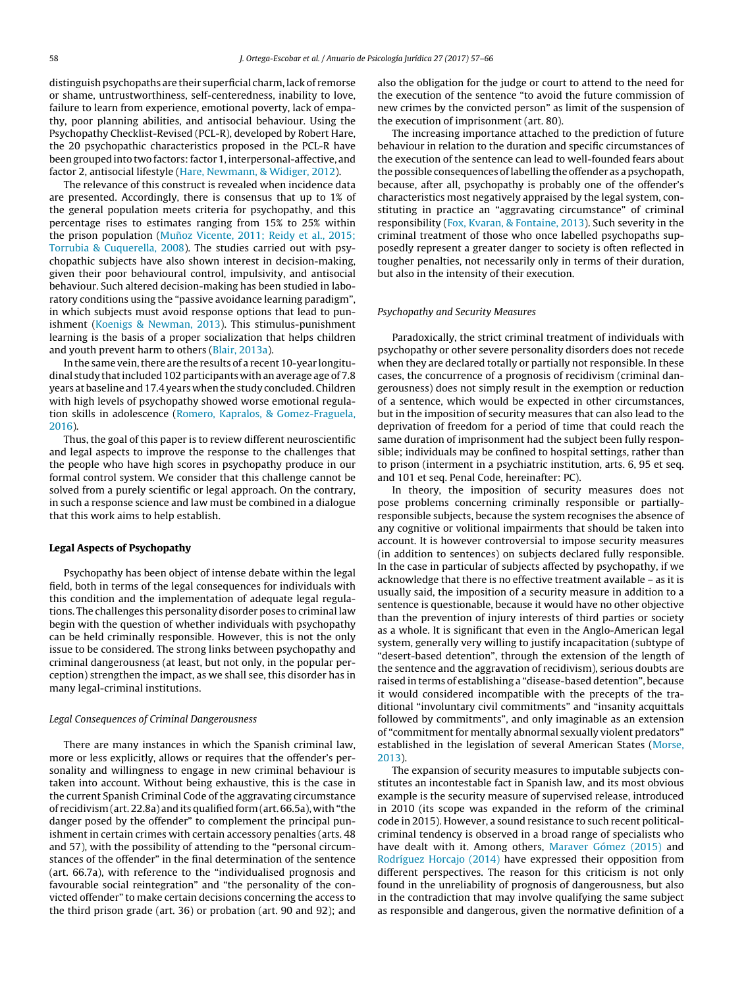distinguish psychopaths are their superficial charm, lack of remorse or shame, untrustworthiness, self-centeredness, inability to love, failure to learn from experience, emotional poverty, lack of empathy, poor planning abilities, and antisocial behaviour. Using the Psychopathy Checklist-Revised (PCL-R), developed by Robert Hare, the 20 psychopathic characteristics proposed in the PCL-R have been grouped into two factors: factor 1, interpersonal-affective, and factor 2, antisocial lifestyle [\(Hare,](#page-8-0) [Newmann,](#page-8-0) [&](#page-8-0) [Widiger,](#page-8-0) [2012\).](#page-8-0)

The relevance of this construct is revealed when incidence data are presented. Accordingly, there is consensus that up to 1% of the general population meets criteria for psychopathy, and this percentage rises to estimates ranging from 15% to 25% within the prison population (Muñoz [Vicente,](#page-8-0) [2011;](#page-8-0) [Reidy](#page-8-0) et [al.,](#page-8-0) [2015;](#page-8-0) [Torrubia](#page-8-0) [&](#page-8-0) [Cuquerella,](#page-8-0) [2008\).](#page-8-0) The studies carried out with psychopathic subjects have also shown interest in decision-making, given their poor behavioural control, impulsivity, and antisocial behaviour. Such altered decision-making has been studied in laboratory conditions using the "passive avoidance learning paradigm", in which subjects must avoid response options that lead to punishment ([Koenigs](#page-8-0) [&](#page-8-0) [Newman,](#page-8-0) [2013\).](#page-8-0) This stimulus-punishment learning is the basis of a proper socialization that helps children and youth prevent harm to others [\(Blair,](#page-8-0) [2013a\).](#page-8-0)

In the same vein, there are the results of a recent 10-year longitudinal study that included 102 participants with an average age of 7.8 years at baseline and 17.4 years when the study concluded. Children with high levels of psychopathy showed worse emotional regulation skills in adolescence [\(Romero,](#page-9-0) [Kapralos,](#page-9-0) [&](#page-9-0) [Gomez-Fraguela,](#page-9-0) [2016\).](#page-9-0)

Thus, the goal of this paper is to review different neuroscientific and legal aspects to improve the response to the challenges that the people who have high scores in psychopathy produce in our formal control system. We consider that this challenge cannot be solved from a purely scientific or legal approach. On the contrary, in such a response science and law must be combined in a dialogue that this work aims to help establish.

## Legal Aspects of Psychopathy

Psychopathy has been object of intense debate within the legal field, both in terms of the legal consequences for individuals with this condition and the implementation of adequate legal regulations. The challenges this personality disorder poses to criminal law begin with the question of whether individuals with psychopathy can be held criminally responsible. However, this is not the only issue to be considered. The strong links between psychopathy and criminal dangerousness (at least, but not only, in the popular perception) strengthen the impact, as we shall see, this disorder has in many legal-criminal institutions.

### Legal Consequences of Criminal Dangerousness

There are many instances in which the Spanish criminal law, more or less explicitly, allows or requires that the offender's personality and willingness to engage in new criminal behaviour is taken into account. Without being exhaustive, this is the case in the current Spanish Criminal Code of the aggravating circumstance of recidivism(art. 22.8a) and its qualified form(art. 66.5a), with"the danger posed by the offender" to complement the principal punishment in certain crimes with certain accessory penalties (arts. 48 and 57), with the possibility of attending to the "personal circumstances of the offender" in the final determination of the sentence (art. 66.7a), with reference to the "individualised prognosis and favourable social reintegration" and "the personality of the convicted offender" to make certain decisions concerning the access to the third prison grade (art. 36) or probation (art. 90 and 92); and

also the obligation for the judge or court to attend to the need for the execution of the sentence "to avoid the future commission of new crimes by the convicted person" as limit of the suspension of the execution of imprisonment (art. 80).

The increasing importance attached to the prediction of future behaviour in relation to the duration and specific circumstances of the execution of the sentence can lead to well-founded fears about the possible consequences oflabelling the offender as a psychopath, because, after all, psychopathy is probably one of the offender's characteristics most negatively appraised by the legal system, constituting in practice an "aggravating circumstance" of criminal responsibility ([Fox,](#page-8-0) [Kvaran,](#page-8-0) [&](#page-8-0) [Fontaine,](#page-8-0) [2013\).](#page-8-0) Such severity in the criminal treatment of those who once labelled psychopaths supposedly represent a greater danger to society is often reflected in tougher penalties, not necessarily only in terms of their duration, but also in the intensity of their execution.

## Psychopathy and Security Measures

Paradoxically, the strict criminal treatment of individuals with psychopathy or other severe personality disorders does not recede when they are declared totally or partially not responsible. In these cases, the concurrence of a prognosis of recidivism (criminal dangerousness) does not simply result in the exemption or reduction of a sentence, which would be expected in other circumstances, but in the imposition of security measures that can also lead to the deprivation of freedom for a period of time that could reach the same duration of imprisonment had the subject been fully responsible; individuals may be confined to hospital settings, rather than to prison (interment in a psychiatric institution, arts. 6, 95 et seq. and 101 et seq. Penal Code, hereinafter: PC).

In theory, the imposition of security measures does not pose problems concerning criminally responsible or partiallyresponsible subjects, because the system recognises the absence of any cognitive or volitional impairments that should be taken into account. It is however controversial to impose security measures (in addition to sentences) on subjects declared fully responsible. In the case in particular of subjects affected by psychopathy, if we acknowledge that there is no effective treatment available – as it is usually said, the imposition of a security measure in addition to a sentence is questionable, because it would have no other objective than the prevention of injury interests of third parties or society as a whole. It is significant that even in the Anglo-American legal system, generally very willing to justify incapacitation (subtype of "desert-based detention", through the extension of the length of the sentence and the aggravation of recidivism), serious doubts are raised in terms of establishing a "disease-based detention", because it would considered incompatible with the precepts of the traditional "involuntary civil commitments" and "insanity acquittals followed by commitments", and only imaginable as an extension of "commitment for mentally abnormal sexually violent predators" established in the legislation of several American States [\(Morse,](#page-8-0) [2013\).](#page-8-0)

The expansion of security measures to imputable subjects constitutes an incontestable fact in Spanish law, and its most obvious example is the security measure of supervised release, introduced in 2010 (its scope was expanded in the reform of the criminal code in 2015). However, a sound resistance to such recent politicalcriminal tendency is observed in a broad range of specialists who have dealt with it. Among others, [Maraver](#page-8-0) [Gómez](#page-8-0) [\(2015\)](#page-8-0) and [Rodríguez](#page-9-0) [Horcajo](#page-9-0) [\(2014\)](#page-9-0) have expressed their opposition from different perspectives. The reason for this criticism is not only found in the unreliability of prognosis of dangerousness, but also in the contradiction that may involve qualifying the same subject as responsible and dangerous, given the normative definition of a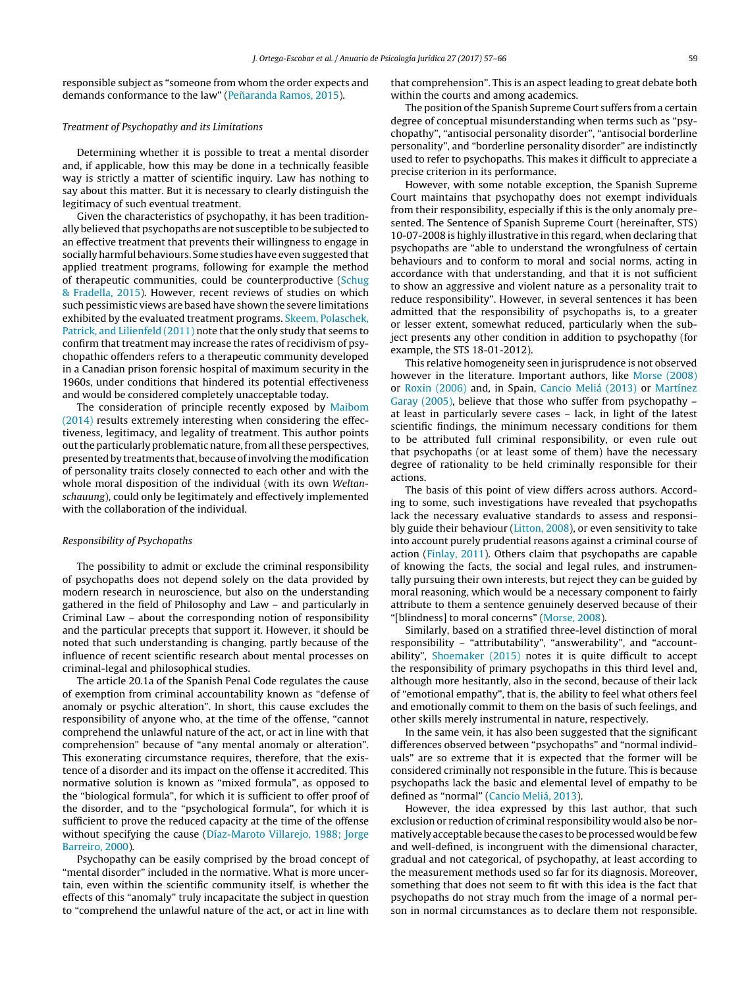responsible subject as "someone from whom the order expects and demands conformance to the law" (Peñaranda [Ramos,](#page-8-0) [2015\).](#page-8-0)

# Treatment of Psychopathy and its Limitations

Determining whether it is possible to treat a mental disorder and, if applicable, how this may be done in a technically feasible way is strictly a matter of scientific inquiry. Law has nothing to say about this matter. But it is necessary to clearly distinguish the legitimacy of such eventual treatment.

Given the characteristics of psychopathy, it has been traditionally believed that psychopaths are not susceptible to be subjected to an effective treatment that prevents their willingness to engage in socially harmful behaviours. Some studies have even suggested that applied treatment programs, following for example the method of therapeutic communities, could be counterproductive [\(Schug](#page-9-0) [&](#page-9-0) [Fradella,](#page-9-0) [2015\).](#page-9-0) However, recent reviews of studies on which such pessimistic views are based have shown the severe limitations exhibited by the evaluated treatment programs. [Skeem,](#page-9-0) [Polaschek,](#page-9-0) [Patrick,](#page-9-0) [and](#page-9-0) [Lilienfeld](#page-9-0) [\(2011\)](#page-9-0) note that the only study that seems to confirm that treatment may increase the rates of recidivism of psychopathic offenders refers to a therapeutic community developed in a Canadian prison forensic hospital of maximum security in the 1960s, under conditions that hindered its potential effectiveness and would be considered completely unacceptable today.

The consideration of principle recently exposed by [Maibom](#page-8-0) [\(2014\)](#page-8-0) results extremely interesting when considering the effectiveness, legitimacy, and legality of treatment. This author points out the particularly problematic nature, from all these perspectives, presentedby treatments that, because ofinvolving themodification of personality traits closely connected to each other and with the whole moral disposition of the individual (with its own Weltanschauung), could only be legitimately and effectively implemented with the collaboration of the individual.

## Responsibility of Psychopaths

The possibility to admit or exclude the criminal responsibility of psychopaths does not depend solely on the data provided by modern research in neuroscience, but also on the understanding gathered in the field of Philosophy and Law – and particularly in Criminal Law – about the corresponding notion of responsibility and the particular precepts that support it. However, it should be noted that such understanding is changing, partly because of the influence of recent scientific research about mental processes on criminal-legal and philosophical studies.

The article 20.1a of the Spanish Penal Code regulates the cause of exemption from criminal accountability known as "defense of anomaly or psychic alteration". In short, this cause excludes the responsibility of anyone who, at the time of the offense, "cannot comprehend the unlawful nature of the act, or act in line with that comprehension" because of "any mental anomaly or alteration". This exonerating circumstance requires, therefore, that the existence of a disorder and its impact on the offense it accredited. This normative solution is known as "mixed formula", as opposed to the "biological formula", for which it is sufficient to offer proof of the disorder, and to the "psychological formula", for which it is sufficient to prove the reduced capacity at the time of the offense without specifying the cause [\(Díaz-Maroto](#page-8-0) [Villarejo,](#page-8-0) [1988;](#page-8-0) [Jorge](#page-8-0) [Barreiro,](#page-8-0) [2000\).](#page-8-0)

Psychopathy can be easily comprised by the broad concept of "mental disorder" included in the normative. What is more uncertain, even within the scientific community itself, is whether the effects of this "anomaly" truly incapacitate the subject in question to "comprehend the unlawful nature of the act, or act in line with

that comprehension". This is an aspect leading to great debate both within the courts and among academics.

The position of the Spanish Supreme Court suffers from a certain degree of conceptual misunderstanding when terms such as "psychopathy", "antisocial personality disorder", "antisocial borderline personality", and "borderline personality disorder" are indistinctly used to refer to psychopaths. This makes it difficult to appreciate a precise criterion in its performance.

However, with some notable exception, the Spanish Supreme Court maintains that psychopathy does not exempt individuals from their responsibility, especially if this is the only anomaly presented. The Sentence of Spanish Supreme Court (hereinafter, STS) 10-07-2008 is highly illustrative in this regard, when declaring that psychopaths are "able to understand the wrongfulness of certain behaviours and to conform to moral and social norms, acting in accordance with that understanding, and that it is not sufficient to show an aggressive and violent nature as a personality trait to reduce responsibility". However, in several sentences it has been admitted that the responsibility of psychopaths is, to a greater or lesser extent, somewhat reduced, particularly when the subject presents any other condition in addition to psychopathy (for example, the STS 18-01-2012).

This relative homogeneity seen in jurisprudence is not observed however in the literature. Important authors, like [Morse](#page-8-0) [\(2008\)](#page-8-0) or [Roxin](#page-9-0) [\(2006\)](#page-9-0) and, in Spain, [Cancio](#page-8-0) [Meliá](#page-8-0) [\(2013\)](#page-8-0) or [Martínez](#page-8-0) [Garay](#page-8-0) [\(2005\),](#page-8-0) believe that those who suffer from psychopathy – at least in particularly severe cases – lack, in light of the latest scientific findings, the minimum necessary conditions for them to be attributed full criminal responsibility, or even rule out that psychopaths (or at least some of them) have the necessary degree of rationality to be held criminally responsible for their actions.

The basis of this point of view differs across authors. According to some, such investigations have revealed that psychopaths lack the necessary evaluative standards to assess and responsibly guide their behaviour [\(Litton,](#page-8-0) [2008\),](#page-8-0) or even sensitivity to take into account purely prudential reasons against a criminal course of action ([Finlay,](#page-8-0) [2011\).](#page-8-0) Others claim that psychopaths are capable of knowing the facts, the social and legal rules, and instrumentally pursuing their own interests, but reject they can be guided by moral reasoning, which would be a necessary component to fairly attribute to them a sentence genuinely deserved because of their "[blindness] to moral concerns" ([Morse,](#page-8-0) [2008\).](#page-8-0)

Similarly, based on a stratified three-level distinction of moral responsibility – "attributability", "answerability", and "accountability", [Shoemaker](#page-9-0) [\(2015\)](#page-9-0) notes it is quite difficult to accept the responsibility of primary psychopaths in this third level and, although more hesitantly, also in the second, because of their lack of "emotional empathy", that is, the ability to feel what others feel and emotionally commit to them on the basis of such feelings, and other skills merely instrumental in nature, respectively.

In the same vein, it has also been suggested that the significant differences observed between "psychopaths" and "normal individuals" are so extreme that it is expected that the former will be considered criminally not responsible in the future. This is because psychopaths lack the basic and elemental level of empathy to be defined as "normal" ([Cancio](#page-8-0) [Meliá,](#page-8-0) [2013\).](#page-8-0)

However, the idea expressed by this last author, that such exclusion or reduction of criminal responsibility would also be normatively acceptable because the cases to be processed would be few and well-defined, is incongruent with the dimensional character, gradual and not categorical, of psychopathy, at least according to the measurement methods used so far for its diagnosis. Moreover, something that does not seem to fit with this idea is the fact that psychopaths do not stray much from the image of a normal person in normal circumstances as to declare them not responsible.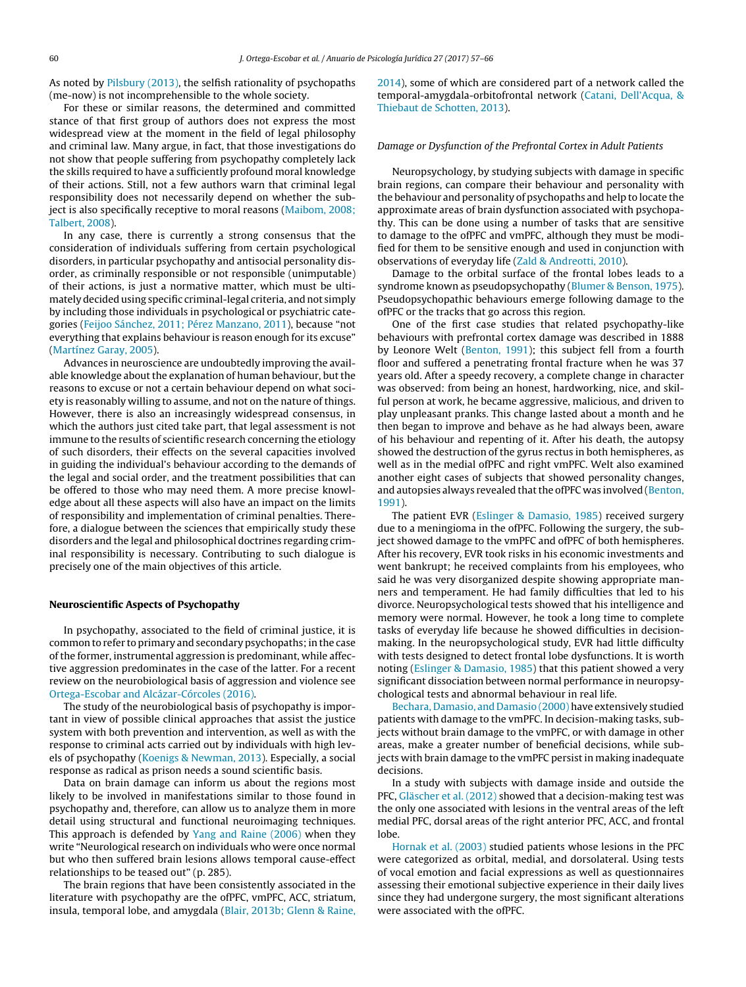As noted by [Pilsbury](#page-9-0) [\(2013\),](#page-9-0) the selfish rationality of psychopaths (me-now) is not incomprehensible to the whole society.

For these or similar reasons, the determined and committed stance of that first group of authors does not express the most widespread view at the moment in the field of legal philosophy and criminal law. Many argue, in fact, that those investigations do not show that people suffering from psychopathy completely lack the skills required to have a sufficiently profound moral knowledge of their actions. Still, not a few authors warn that criminal legal responsibility does not necessarily depend on whether the subject is also specifically receptive to moral reasons ([Maibom,](#page-8-0) [2008;](#page-8-0) [Talbert,](#page-8-0) [2008\).](#page-8-0)

In any case, there is currently a strong consensus that the consideration of individuals suffering from certain psychological disorders, in particular psychopathy and antisocial personality disorder, as criminally responsible or not responsible (unimputable) of their actions, is just a normative matter, which must be ultimately decided using specific criminal-legal criteria, and not simply by including those individuals in psychological or psychiatric categories [\(Feijoo](#page-8-0) [Sánchez,](#page-8-0) [2011;](#page-8-0) [Pérez](#page-8-0) [Manzano,](#page-8-0) [2011\),](#page-8-0) because "not everything that explains behaviour is reason enough for its excuse" ([Martínez](#page-8-0) [Garay,](#page-8-0) [2005\).](#page-8-0)

Advances in neuroscience are undoubtedly improving the available knowledge about the explanation of human behaviour, but the reasons to excuse or not a certain behaviour depend on what society is reasonably willing to assume, and not on the nature of things. However, there is also an increasingly widespread consensus, in which the authors just cited take part, that legal assessment is not immune to the results of scientific research concerning the etiology of such disorders, their effects on the several capacities involved in guiding the individual's behaviour according to the demands of the legal and social order, and the treatment possibilities that can be offered to those who may need them. A more precise knowledge about all these aspects will also have an impact on the limits of responsibility and implementation of criminal penalties. Therefore, a dialogue between the sciences that empirically study these disorders and the legal and philosophical doctrines regarding criminal responsibility is necessary. Contributing to such dialogue is precisely one of the main objectives of this article.

## Neuroscientific Aspects of Psychopathy

In psychopathy, associated to the field of criminal justice, it is common to refer to primary and secondary psychopaths; in the case ofthe former, instrumental aggression is predominant, while affective aggression predominates in the case of the latter. For a recent review on the neurobiological basis of aggression and violence see [Ortega-Escobar](#page-8-0) [and](#page-8-0) [Alcázar-Córcoles](#page-8-0) [\(2016\).](#page-8-0)

The study of the neurobiological basis of psychopathy is important in view of possible clinical approaches that assist the justice system with both prevention and intervention, as well as with the response to criminal acts carried out by individuals with high levels of psychopathy [\(Koenigs](#page-8-0) [&](#page-8-0) [Newman,](#page-8-0) [2013\).](#page-8-0) Especially, a social response as radical as prison needs a sound scientific basis.

Data on brain damage can inform us about the regions most likely to be involved in manifestations similar to those found in psychopathy and, therefore, can allow us to analyze them in more detail using structural and functional neuroimaging techniques. This approach is defended by [Yang](#page-9-0) [and](#page-9-0) [Raine](#page-9-0) [\(2006\)](#page-9-0) when they write "Neurological research on individuals who were once normal but who then suffered brain lesions allows temporal cause-effect relationships to be teased out" (p. 285).

The brain regions that have been consistently associated in the literature with psychopathy are the ofPFC, vmPFC, ACC, striatum, insula, temporal lobe, and amygdala ([Blair,](#page-8-0) [2013b;](#page-8-0) [Glenn](#page-8-0) [&](#page-8-0) [Raine,](#page-8-0) [2014\),](#page-8-0) some of which are considered part of a network called the temporal-amygdala-orbitofrontal network [\(Catani,](#page-8-0) [Dell'Acqua,](#page-8-0) [&](#page-8-0) [Thiebaut](#page-8-0) [de](#page-8-0) [Schotten,](#page-8-0) [2013\).](#page-8-0)

# Damage or Dysfunction of the Prefrontal Cortex in Adult Patients

Neuropsychology, by studying subjects with damage in specific brain regions, can compare their behaviour and personality with the behaviour and personality of psychopaths and help to locate the approximate areas of brain dysfunction associated with psychopathy. This can be done using a number of tasks that are sensitive to damage to the ofPFC and vmPFC, although they must be modified for them to be sensitive enough and used in conjunction with observations of everyday life ([Zald](#page-9-0) [&](#page-9-0) [Andreotti,](#page-9-0) [2010\).](#page-9-0)

Damage to the orbital surface of the frontal lobes leads to a syndrome known as pseudopsychopathy [\(Blumer](#page-8-0) [&](#page-8-0) [Benson,](#page-8-0) [1975\).](#page-8-0) Pseudopsychopathic behaviours emerge following damage to the ofPFC or the tracks that go across this region.

One of the first case studies that related psychopathy-like behaviours with prefrontal cortex damage was described in 1888 by Leonore Welt ([Benton,](#page-8-0) [1991\);](#page-8-0) this subject fell from a fourth floor and suffered a penetrating frontal fracture when he was 37 years old. After a speedy recovery, a complete change in character was observed: from being an honest, hardworking, nice, and skilful person at work, he became aggressive, malicious, and driven to play unpleasant pranks. This change lasted about a month and he then began to improve and behave as he had always been, aware of his behaviour and repenting of it. After his death, the autopsy showed the destruction of the gyrus rectus in both hemispheres, as well as in the medial ofPFC and right vmPFC. Welt also examined another eight cases of subjects that showed personality changes, and autopsies always revealed that the ofPFC was involved ([Benton,](#page-8-0) [1991\).](#page-8-0)

The patient EVR [\(Eslinger](#page-8-0) [&](#page-8-0) [Damasio,](#page-8-0) [1985\)](#page-8-0) received surgery due to a meningioma in the ofPFC. Following the surgery, the subject showed damage to the vmPFC and ofPFC of both hemispheres. After his recovery, EVR took risks in his economic investments and went bankrupt; he received complaints from his employees, who said he was very disorganized despite showing appropriate manners and temperament. He had family difficulties that led to his divorce. Neuropsychological tests showed that his intelligence and memory were normal. However, he took a long time to complete tasks of everyday life because he showed difficulties in decisionmaking. In the neuropsychological study, EVR had little difficulty with tests designed to detect frontal lobe dysfunctions. It is worth noting [\(Eslinger](#page-8-0) [&](#page-8-0) [Damasio,](#page-8-0) [1985\)](#page-8-0) that this patient showed a very significant dissociation between normal performance in neuropsychological tests and abnormal behaviour in real life.

[Bechara,](#page-8-0) [Damasio,](#page-8-0) [and](#page-8-0) [Damasio](#page-8-0) [\(2000\)](#page-8-0) have extensively studied patients with damage to the vmPFC. In decision-making tasks, subjects without brain damage to the vmPFC, or with damage in other areas, make a greater number of beneficial decisions, while subjects with brain damage to the vmPFC persist in making inadequate decisions.

In a study with subjects with damage inside and outside the PFC, [Gläscher](#page-8-0) et [al.](#page-8-0) [\(2012\)](#page-8-0) showed that a decision-making test was the only one associated with lesions in the ventral areas of the left medial PFC, dorsal areas of the right anterior PFC, ACC, and frontal lobe.

[Hornak](#page-8-0) et [al.](#page-8-0) [\(2003\)](#page-8-0) studied patients whose lesions in the PFC were categorized as orbital, medial, and dorsolateral. Using tests of vocal emotion and facial expressions as well as questionnaires assessing their emotional subjective experience in their daily lives since they had undergone surgery, the most significant alterations were associated with the ofPFC.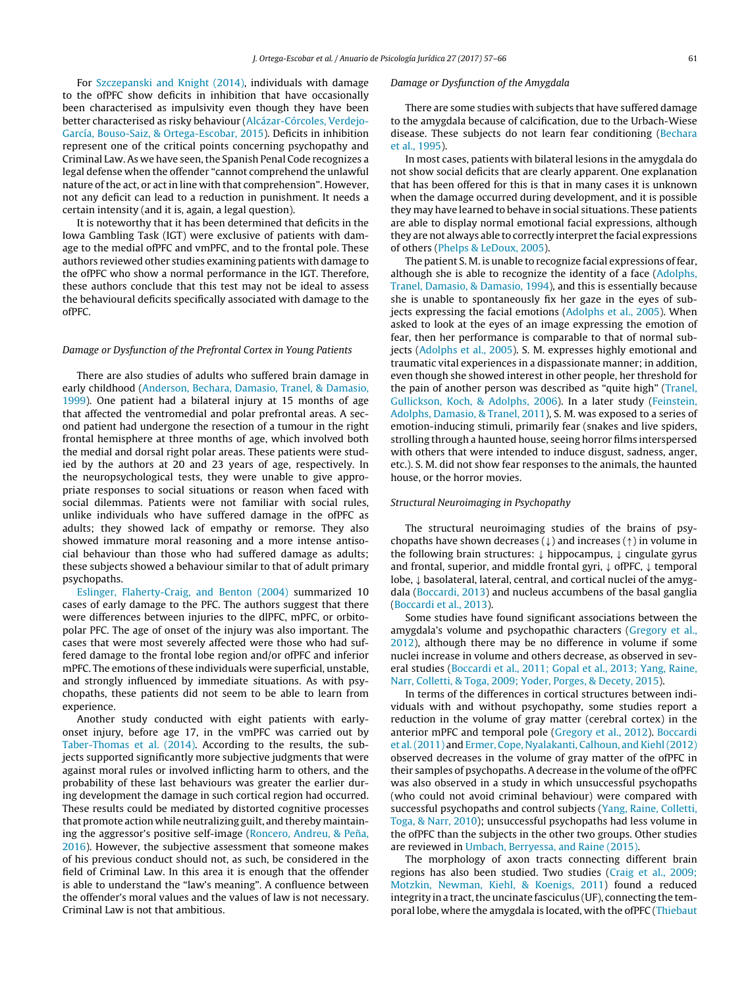For [Szczepanski](#page-9-0) [and](#page-9-0) [Knight](#page-9-0) [\(2014\),](#page-9-0) individuals with damage to the ofPFC show deficits in inhibition that have occasionally been characterised as impulsivity even though they have been better characterised as risky behaviour ([Alcázar-Córcoles,](#page-7-0) [Verdejo-](#page-7-0)García, [Bouso-Saiz,](#page-7-0) [&](#page-7-0) [Ortega-Escobar,](#page-7-0) [2015\).](#page-7-0) Deficits in inhibition represent one of the critical points concerning psychopathy and Criminal Law. As we have seen, the Spanish Penal Code recognizes a legal defense when the offender "cannot comprehend the unlawful nature of the act, or act in line with that comprehension". However, not any deficit can lead to a reduction in punishment. It needs a certain intensity (and it is, again, a legal question).

It is noteworthy that it has been determined that deficits in the Iowa Gambling Task (IGT) were exclusive of patients with damage to the medial ofPFC and vmPFC, and to the frontal pole. These authors reviewed other studies examining patients with damage to the ofPFC who show a normal performance in the IGT. Therefore, these authors conclude that this test may not be ideal to assess the behavioural deficits specifically associated with damage to the ofPFC.

## Damage or Dysfunction of the Prefrontal Cortex in Young Patients

There are also studies of adults who suffered brain damage in early childhood [\(Anderson,](#page-7-0) [Bechara,](#page-7-0) [Damasio,](#page-7-0) [Tranel,](#page-7-0) [&](#page-7-0) [Damasio,](#page-7-0) [1999\).](#page-7-0) One patient had a bilateral injury at 15 months of age that affected the ventromedial and polar prefrontal areas. A second patient had undergone the resection of a tumour in the right frontal hemisphere at three months of age, which involved both the medial and dorsal right polar areas. These patients were studied by the authors at 20 and 23 years of age, respectively. In the neuropsychological tests, they were unable to give appropriate responses to social situations or reason when faced with social dilemmas. Patients were not familiar with social rules, unlike individuals who have suffered damage in the ofPFC as adults; they showed lack of empathy or remorse. They also showed immature moral reasoning and a more intense antisocial behaviour than those who had suffered damage as adults; these subjects showed a behaviour similar to that of adult primary psychopaths.

[Eslinger,](#page-8-0) [Flaherty-Craig,](#page-8-0) [and](#page-8-0) [Benton](#page-8-0) [\(2004\)](#page-8-0) summarized 10 cases of early damage to the PFC. The authors suggest that there were differences between injuries to the dlPFC, mPFC, or orbitopolar PFC. The age of onset of the injury was also important. The cases that were most severely affected were those who had suffered damage to the frontal lobe region and/or ofPFC and inferior mPFC. The emotions of these individuals were superficial, unstable, and strongly influenced by immediate situations. As with psychopaths, these patients did not seem to be able to learn from experience.

Another study conducted with eight patients with earlyonset injury, before age 17, in the vmPFC was carried out by [Taber-Thomas](#page-9-0) et [al.](#page-9-0) [\(2014\).](#page-9-0) According to the results, the subjects supported significantly more subjective judgments that were against moral rules or involved inflicting harm to others, and the probability of these last behaviours was greater the earlier during development the damage in such cortical region had occurred. These results could be mediated by distorted cognitive processes that promote action while neutralizing guilt, and thereby maintain-ing the aggressor's positive self-image ([Roncero,](#page-9-0) [Andreu,](#page-9-0) [&](#page-9-0) Peña, [2016\).](#page-9-0) However, the subjective assessment that someone makes of his previous conduct should not, as such, be considered in the field of Criminal Law. In this area it is enough that the offender is able to understand the "law's meaning". A confluence between the offender's moral values and the values of law is not necessary. Criminal Law is not that ambitious.

#### Damage or Dysfunction of the Amygdala

There are some studies with subjects that have suffered damage to the amygdala because of calcification, due to the Urbach-Wiese disease. These subjects do not learn fear conditioning [\(Bechara](#page-8-0) et [al.,](#page-8-0) [1995\).](#page-8-0)

In most cases, patients with bilateral lesions in the amygdala do not show social deficits that are clearly apparent. One explanation that has been offered for this is that in many cases it is unknown when the damage occurred during development, and it is possible they may have learned to behave in social situations. These patients are able to display normal emotional facial expressions, although they are not always able to correctly interpretthe facial expressions of others [\(Phelps](#page-8-0) [&](#page-8-0) [LeDoux,](#page-8-0) [2005\).](#page-8-0)

The patient S. M. is unable to recognize facial expressions of fear, although she is able to recognize the identity of a face ([Adolphs,](#page-7-0) [Tranel,](#page-7-0) [Damasio,](#page-7-0) [&](#page-7-0) [Damasio,](#page-7-0) [1994\),](#page-7-0) and this is essentially because she is unable to spontaneously fix her gaze in the eyes of sub-jects expressing the facial emotions [\(Adolphs](#page-7-0) et [al.,](#page-7-0) [2005\).](#page-7-0) When asked to look at the eyes of an image expressing the emotion of fear, then her performance is comparable to that of normal subjects ([Adolphs](#page-7-0) et [al.,](#page-7-0) [2005\).](#page-7-0) S. M. expresses highly emotional and traumatic vital experiences in a dispassionate manner; in addition, even though she showed interest in other people, her threshold for the pain of another person was described as "quite high" ([Tranel,](#page-9-0) [Gullickson,](#page-9-0) [Koch,](#page-9-0) [&](#page-9-0) [Adolphs,](#page-9-0) [2006\).](#page-9-0) In a later study [\(Feinstein,](#page-8-0) [Adolphs,](#page-8-0) [Damasio,](#page-8-0) [&](#page-8-0) [Tranel,](#page-8-0) [2011\),](#page-8-0) S. M. was exposed to a series of emotion-inducing stimuli, primarily fear (snakes and live spiders, strolling through a haunted house, seeing horror films interspersed with others that were intended to induce disgust, sadness, anger, etc.). S. M. did not show fear responses to the animals, the haunted house, or the horror movies.

## Structural Neuroimaging in Psychopathy

The structural neuroimaging studies of the brains of psychopaths have shown decreases  $(\downarrow)$  and increases  $(\uparrow)$  in volume in the following brain structures: ↓ hippocampus, ↓ cingulate gyrus and frontal, superior, and middle frontal gyri, ↓ ofPFC, ↓ temporal lobe, ↓ basolateral, lateral, central, and cortical nuclei of the amygdala ([Boccardi,](#page-8-0) [2013\)](#page-8-0) and nucleus accumbens of the basal ganglia [\(Boccardi](#page-8-0) et [al.,](#page-8-0) [2013\).](#page-8-0)

Some studies have found significant associations between the amygdala's volume and psychopathic characters [\(Gregory](#page-8-0) et [al.,](#page-8-0) [2012\),](#page-8-0) although there may be no difference in volume if some nuclei increase in volume and others decrease, as observed in several studies [\(Boccardi](#page-8-0) et [al.,](#page-8-0) [2011;](#page-8-0) [Gopal](#page-8-0) et [al.,](#page-8-0) [2013;](#page-8-0) [Yang,](#page-8-0) [Raine,](#page-8-0) [Narr,](#page-8-0) [Colletti,](#page-8-0) [&](#page-8-0) [Toga,](#page-8-0) [2009;](#page-8-0) [Yoder,](#page-8-0) [Porges,](#page-8-0) [&](#page-8-0) [Decety,](#page-8-0) [2015\).](#page-8-0)

In terms of the differences in cortical structures between individuals with and without psychopathy, some studies report a reduction in the volume of gray matter (cerebral cortex) in the anterior mPFC and temporal pole [\(Gregory](#page-8-0) et [al.,](#page-8-0) [2012\).](#page-8-0) [Boccardi](#page-8-0) et [al.\(2011\)](#page-8-0) and [Ermer,](#page-8-0) [Cope,](#page-8-0) [Nyalakanti,](#page-8-0) [Calhoun,](#page-8-0) [and](#page-8-0) [Kiehl\(2012\)](#page-8-0) observed decreases in the volume of gray matter of the ofPFC in their samples of psychopaths. A decrease in the volume of the ofPFC was also observed in a study in which unsuccessful psychopaths (who could not avoid criminal behaviour) were compared with successful psychopaths and control subjects ([Yang,](#page-9-0) [Raine,](#page-9-0) [Colletti,](#page-9-0) [Toga,](#page-9-0) [&](#page-9-0) [Narr,](#page-9-0) [2010\);](#page-9-0) unsuccessful psychopaths had less volume in the ofPFC than the subjects in the other two groups. Other studies are reviewed in [Umbach,](#page-9-0) [Berryessa,](#page-9-0) [and](#page-9-0) [Raine](#page-9-0) [\(2015\).](#page-9-0)

The morphology of axon tracts connecting different brain regions has also been studied. Two studies [\(Craig](#page-8-0) et [al.,](#page-8-0) [2009;](#page-8-0) [Motzkin,](#page-8-0) [Newman,](#page-8-0) [Kiehl,](#page-8-0) [&](#page-8-0) [Koenigs,](#page-8-0) [2011\)](#page-8-0) found a reduced integrity in a tract, the uncinate fasciculus (UF), connecting the temporal lobe, where the amygdala is located, with the ofPFC [\(Thiebaut](#page-9-0)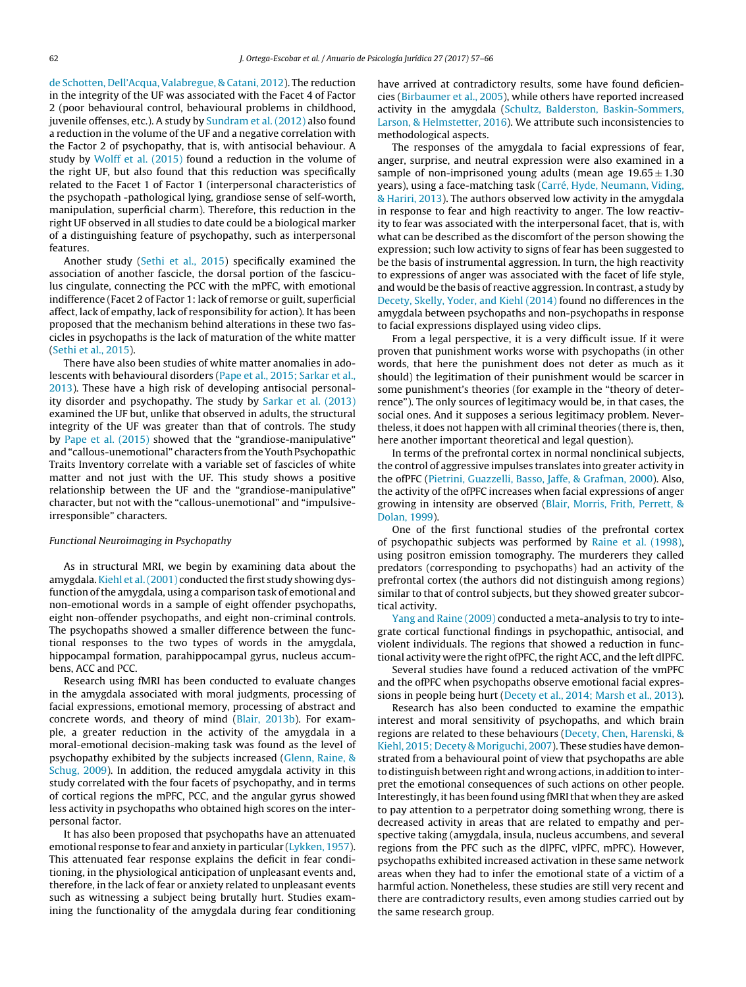[de](#page-9-0) [Schotten,](#page-9-0) [Dell'Acqua,](#page-9-0) [Valabregue,](#page-9-0) [&](#page-9-0) [Catani,](#page-9-0) [2012\).](#page-9-0) The reduction in the integrity of the UF was associated with the Facet 4 of Factor 2 (poor behavioural control, behavioural problems in childhood, juvenile offenses, etc.). A study by [Sundram](#page-9-0) et [al.](#page-9-0) [\(2012\)](#page-9-0) also found a reduction in the volume of the UF and a negative correlation with the Factor 2 of psychopathy, that is, with antisocial behaviour. A study by [Wolff](#page-9-0) et [al.](#page-9-0) [\(2015\)](#page-9-0) found a reduction in the volume of the right UF, but also found that this reduction was specifically related to the Facet 1 of Factor 1 (interpersonal characteristics of the psychopath -pathological lying, grandiose sense of self-worth, manipulation, superficial charm). Therefore, this reduction in the right UF observed in all studies to date could be a biological marker of a distinguishing feature of psychopathy, such as interpersonal features.

Another study [\(Sethi](#page-9-0) et [al.,](#page-9-0) [2015\)](#page-9-0) specifically examined the association of another fascicle, the dorsal portion of the fasciculus cingulate, connecting the PCC with the mPFC, with emotional indifference (Facet 2 of Factor 1: lack of remorse or guilt, superficial affect, lack of empathy, lack of responsibility for action). It has been proposed that the mechanism behind alterations in these two fascicles in psychopaths is the lack of maturation of the white matter ([Sethi](#page-9-0) et [al.,](#page-9-0) [2015\).](#page-9-0)

There have also been studies of white matter anomalies in adolescents with behavioural disorders ([Pape](#page-8-0) et [al.,](#page-8-0) [2015;](#page-8-0) [Sarkar](#page-8-0) et [al.,](#page-8-0) [2013\).](#page-8-0) These have a high risk of developing antisocial personality disorder and psychopathy. The study by [Sarkar](#page-9-0) et [al.](#page-9-0) [\(2013\)](#page-9-0) examined the UF but, unlike that observed in adults, the structural integrity of the UF was greater than that of controls. The study by [Pape](#page-8-0) et [al.](#page-8-0) [\(2015\)](#page-8-0) showed that the "grandiose-manipulative" and "callous-unemotional" characters from the Youth Psychopathic Traits Inventory correlate with a variable set of fascicles of white matter and not just with the UF. This study shows a positive relationship between the UF and the "grandiose-manipulative" character, but not with the "callous-unemotional" and "impulsiveirresponsible" characters.

## Functional Neuroimaging in Psychopathy

As in structural MRI, we begin by examining data about the amygdala. [Kiehl](#page-8-0) et al. (2001) conducted the first study showing dysfunction of the amygdala, using a comparison task of emotional and non-emotional words in a sample of eight offender psychopaths, eight non-offender psychopaths, and eight non-criminal controls. The psychopaths showed a smaller difference between the functional responses to the two types of words in the amygdala, hippocampal formation, parahippocampal gyrus, nucleus accumbens, ACC and PCC.

Research using fMRI has been conducted to evaluate changes in the amygdala associated with moral judgments, processing of facial expressions, emotional memory, processing of abstract and concrete words, and theory of mind ([Blair,](#page-8-0) [2013b\).](#page-8-0) For example, a greater reduction in the activity of the amygdala in a moral-emotional decision-making task was found as the level of psychopathy exhibited by the subjects increased ([Glenn,](#page-8-0) [Raine,](#page-8-0) [&](#page-8-0) [Schug,](#page-8-0) [2009\).](#page-8-0) In addition, the reduced amygdala activity in this study correlated with the four facets of psychopathy, and in terms of cortical regions the mPFC, PCC, and the angular gyrus showed less activity in psychopaths who obtained high scores on the interpersonal factor.

It has also been proposed that psychopaths have an attenuated emotional response to fear and anxiety in particular ([Lykken,](#page-8-0) [1957\).](#page-8-0) This attenuated fear response explains the deficit in fear conditioning, in the physiological anticipation of unpleasant events and, therefore, in the lack of fear or anxiety related to unpleasant events such as witnessing a subject being brutally hurt. Studies examining the functionality of the amygdala during fear conditioning

have arrived at contradictory results, some have found deficiencies ([Birbaumer](#page-8-0) et [al.,](#page-8-0) [2005\),](#page-8-0) while others have reported increased activity in the amygdala ([Schultz,](#page-9-0) [Balderston,](#page-9-0) [Baskin-Sommers,](#page-9-0) [Larson,](#page-9-0) [&](#page-9-0) [Helmstetter,](#page-9-0) [2016\).](#page-9-0) We attribute such inconsistencies to methodological aspects.

The responses of the amygdala to facial expressions of fear, anger, surprise, and neutral expression were also examined in a sample of non-imprisoned young adults (mean age  $19.65 \pm 1.30$ years), using a face-matching task ([Carré,](#page-8-0) [Hyde,](#page-8-0) [Neumann,](#page-8-0) [Viding,](#page-8-0) [&](#page-8-0) [Hariri,](#page-8-0) [2013\).](#page-8-0) The authors observed low activity in the amygdala in response to fear and high reactivity to anger. The low reactivity to fear was associated with the interpersonal facet, that is, with what can be described as the discomfort of the person showing the expression; such low activity to signs of fear has been suggested to be the basis of instrumental aggression. In turn, the high reactivity to expressions of anger was associated with the facet of life style, and would be the basis of reactive aggression. In contrast, a study by [Decety,](#page-8-0) [Skelly,](#page-8-0) [Yoder,](#page-8-0) [and](#page-8-0) [Kiehl](#page-8-0) [\(2014\)](#page-8-0) found no differences in the amygdala between psychopaths and non-psychopaths in response to facial expressions displayed using video clips.

From a legal perspective, it is a very difficult issue. If it were proven that punishment works worse with psychopaths (in other words, that here the punishment does not deter as much as it should) the legitimation of their punishment would be scarcer in some punishment's theories (for example in the "theory of deterrence"). The only sources of legitimacy would be, in that cases, the social ones. And it supposes a serious legitimacy problem. Nevertheless, it does not happen with all criminal theories (there is, then, here another important theoretical and legal question).

In terms of the prefrontal cortex in normal nonclinical subjects, the control of aggressive impulses translates into greater activity in the ofPFC [\(Pietrini,](#page-8-0) [Guazzelli,](#page-8-0) [Basso,](#page-8-0) [Jaffe,](#page-8-0) [&](#page-8-0) [Grafman,](#page-8-0) [2000\).](#page-8-0) Also, the activity of the ofPFC increases when facial expressions of anger growing in intensity are observed ([Blair,](#page-8-0) [Morris,](#page-8-0) [Frith,](#page-8-0) [Perrett,](#page-8-0) [&](#page-8-0) [Dolan,](#page-8-0) [1999\).](#page-8-0)

One of the first functional studies of the prefrontal cortex of psychopathic subjects was performed by [Raine](#page-9-0) et [al.](#page-9-0) [\(1998\),](#page-9-0) using positron emission tomography. The murderers they called predators (corresponding to psychopaths) had an activity of the prefrontal cortex (the authors did not distinguish among regions) similar to that of control subjects, but they showed greater subcortical activity.

[Yang](#page-9-0) [and](#page-9-0) [Raine](#page-9-0) [\(2009\)](#page-9-0) conducted a meta-analysis to try to integrate cortical functional findings in psychopathic, antisocial, and violent individuals. The regions that showed a reduction in functional activity were the right of PFC, the right ACC, and the left dlPFC.

Several studies have found a reduced activation of the vmPFC and the ofPFC when psychopaths observe emotional facial expressions in people being hurt [\(Decety](#page-8-0) et [al.,](#page-8-0) [2014;](#page-8-0) [Marsh](#page-8-0) et [al.,](#page-8-0) [2013\).](#page-8-0)

Research has also been conducted to examine the empathic interest and moral sensitivity of psychopaths, and which brain regions are related to these behaviours [\(Decety,](#page-8-0) [Chen,](#page-8-0) [Harenski,](#page-8-0) [&](#page-8-0) [Kiehl,](#page-8-0) [2015;](#page-8-0) [Decety](#page-8-0) [&](#page-8-0) [Moriguchi,](#page-8-0) [2007\).](#page-8-0) These studies have demonstrated from a behavioural point of view that psychopaths are able to distinguish between right and wrong actions, in addition to interpret the emotional consequences of such actions on other people. Interestingly, it has been found using fMRI that when they are asked to pay attention to a perpetrator doing something wrong, there is decreased activity in areas that are related to empathy and perspective taking (amygdala, insula, nucleus accumbens, and several regions from the PFC such as the dlPFC, vlPFC, mPFC). However, psychopaths exhibited increased activation in these same network areas when they had to infer the emotional state of a victim of a harmful action. Nonetheless, these studies are still very recent and there are contradictory results, even among studies carried out by the same research group.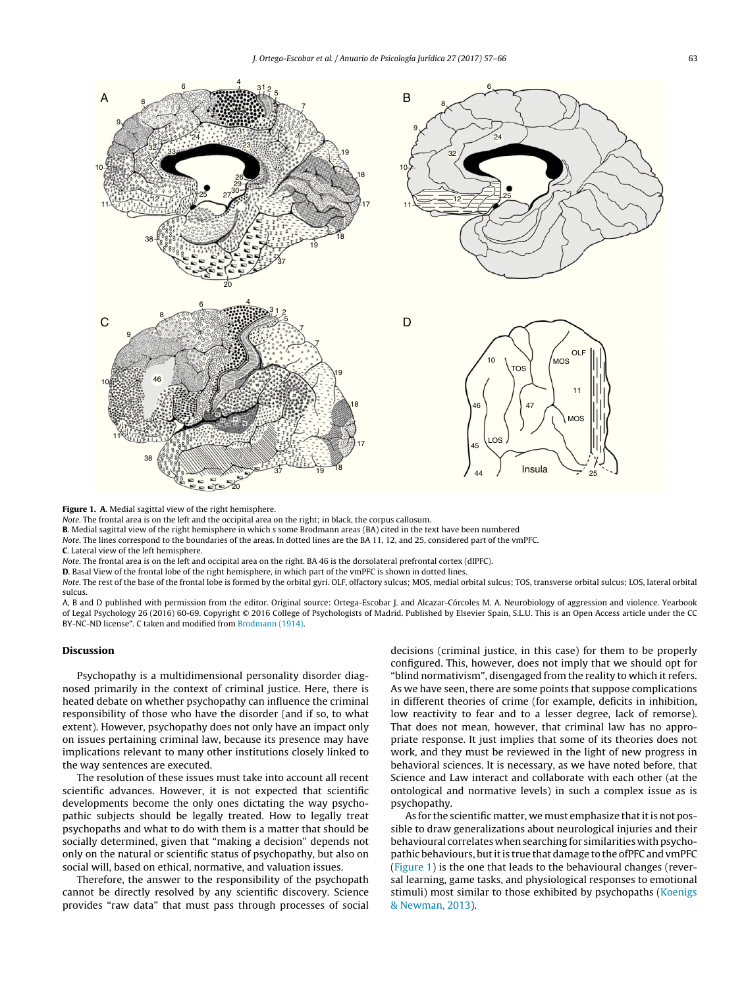<span id="page-6-0"></span>

Figure 1. A. Medial sagittal view of the right hemisphere.

Note. The frontal area is on the left and the occipital area on the right; in black, the corpus callosum.

B. Medial sagittal view of the right hemisphere in which s some Brodmann areas (BA) cited in the text have been numbered

Note. The lines correspond to the boundaries of the areas. In dotted lines are the BA 11, 12, and 25, considered part of the vmPFC.

C. Lateral view of the left hemisphere.

Note. The frontal area is on the left and occipital area on the right. BA 46 is the dorsolateral prefrontal cortex (dlPFC).

D. Basal View of the frontal lobe of the right hemisphere, in which part of the vmPFC is shown in dotted lines.

Note. The rest of the base of the frontal lobe is formed by the orbital gyri. OLF, olfactory sulcus; MOS, medial orbital sulcus; TOS, transverse orbital sulcus; LOS, lateral orbital sulcus.

A, B and D published with permission from the editor. Original source: Ortega-Escobar J. and Alcazar-Córcoles M. A. Neurobiology of aggression and violence. Yearbook of Legal Psychology 26 (2016) 60-69. Copyright © 2016 College of Psychologists of Madrid. Published by Elsevier Spain, S.L.U. This is an Open Access article under the CC BY-NC-ND license". C taken and modified from [Brodmann](#page-8-0) [\(1914\).](#page-8-0)

## Discussion

Psychopathy is a multidimensional personality disorder diagnosed primarily in the context of criminal justice. Here, there is heated debate on whether psychopathy can influence the criminal responsibility of those who have the disorder (and if so, to what extent). However, psychopathy does not only have an impact only on issues pertaining criminal law, because its presence may have implications relevant to many other institutions closely linked to the way sentences are executed.

The resolution of these issues must take into account all recent scientific advances. However, it is not expected that scientific developments become the only ones dictating the way psychopathic subjects should be legally treated. How to legally treat psychopaths and what to do with them is a matter that should be socially determined, given that "making a decision" depends not only on the natural or scientific status of psychopathy, but also on social will, based on ethical, normative, and valuation issues.

Therefore, the answer to the responsibility of the psychopath cannot be directly resolved by any scientific discovery. Science provides "raw data" that must pass through processes of social

decisions (criminal justice, in this case) for them to be properly configured. This, however, does not imply that we should opt for "blind normativism", disengaged from the reality to which it refers. As we have seen, there are some points that suppose complications in different theories of crime (for example, deficits in inhibition, low reactivity to fear and to a lesser degree, lack of remorse). That does not mean, however, that criminal law has no appropriate response. It just implies that some of its theories does not work, and they must be reviewed in the light of new progress in behavioral sciences. It is necessary, as we have noted before, that Science and Law interact and collaborate with each other (at the ontological and normative levels) in such a complex issue as is psychopathy.

As for the scientific matter, we must emphasize that it is not possible to draw generalizations about neurological injuries and their behavioural correlates when searching for similarities with psychopathic behaviours, but it is true that damage to the ofPFC and vmPFC (Figure 1) is the one that leads to the behavioural changes (reversal learning, game tasks, and physiological responses to emotional stimuli) most similar to those exhibited by psychopaths ([Koenigs](#page-8-0) [&](#page-8-0) [Newman,](#page-8-0) [2013\).](#page-8-0)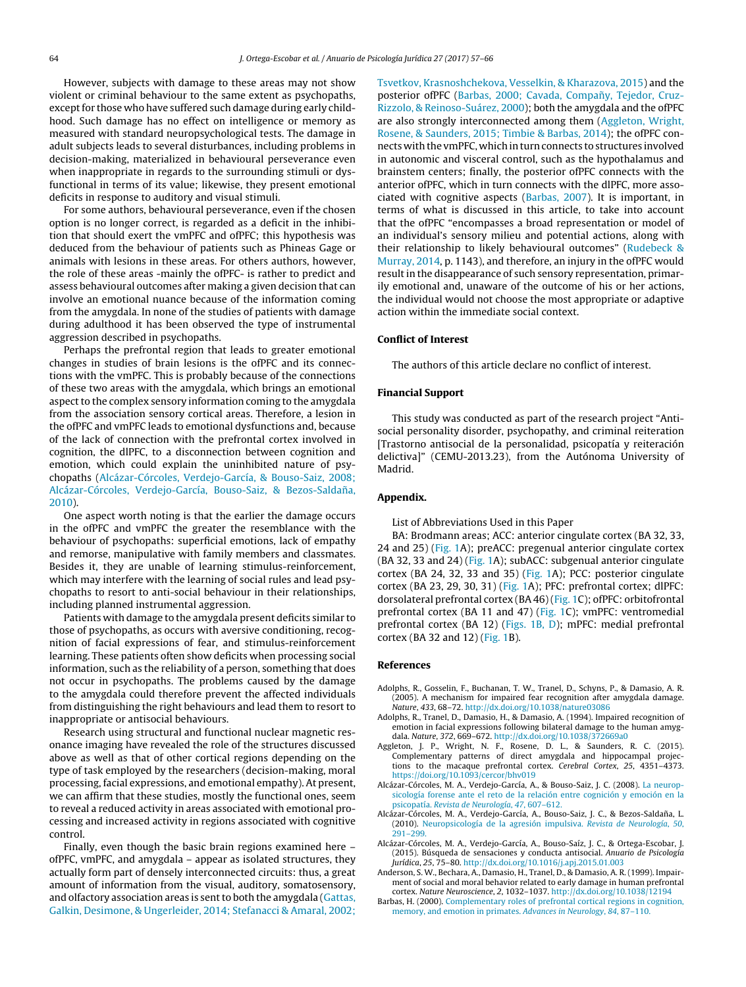<span id="page-7-0"></span>However, subjects with damage to these areas may not show violent or criminal behaviour to the same extent as psychopaths, except for those who have suffered such damage during early childhood. Such damage has no effect on intelligence or memory as measured with standard neuropsychological tests. The damage in adult subjects leads to several disturbances, including problems in decision-making, materialized in behavioural perseverance even when inappropriate in regards to the surrounding stimuli or dysfunctional in terms of its value; likewise, they present emotional deficits in response to auditory and visual stimuli.

For some authors, behavioural perseverance, even if the chosen option is no longer correct, is regarded as a deficit in the inhibition that should exert the vmPFC and ofPFC; this hypothesis was deduced from the behaviour of patients such as Phineas Gage or animals with lesions in these areas. For others authors, however, the role of these areas -mainly the ofPFC- is rather to predict and assess behavioural outcomes after making a given decision that can involve an emotional nuance because of the information coming from the amygdala. In none of the studies of patients with damage during adulthood it has been observed the type of instrumental aggression described in psychopaths.

Perhaps the prefrontal region that leads to greater emotional changes in studies of brain lesions is the ofPFC and its connections with the vmPFC. This is probably because of the connections of these two areas with the amygdala, which brings an emotional aspect to the complex sensory information coming to the amygdala from the association sensory cortical areas. Therefore, a lesion in the ofPFC and vmPFC leads to emotional dysfunctions and, because of the lack of connection with the prefrontal cortex involved in cognition, the dlPFC, to a disconnection between cognition and emotion, which could explain the uninhibited nature of psychopaths (Alcázar-Córcoles, Verdejo-García, & Bouso-Saiz, 2008; Alcázar-Córcoles, Verdejo-García, Bouso-Saiz, & Bezos-Saldaña, 2010).

One aspect worth noting is that the earlier the damage occurs in the ofPFC and vmPFC the greater the resemblance with the behaviour of psychopaths: superficial emotions, lack of empathy and remorse, manipulative with family members and classmates. Besides it, they are unable of learning stimulus-reinforcement, which may interfere with the learning of social rules and lead psychopaths to resort to anti-social behaviour in their relationships, including planned instrumental aggression.

Patients with damage to the amygdala present deficits similar to those of psychopaths, as occurs with aversive conditioning, recognition of facial expressions of fear, and stimulus-reinforcement learning. These patients often show deficits when processing social information, such as the reliability of a person, something that does not occur in psychopaths. The problems caused by the damage to the amygdala could therefore prevent the affected individuals from distinguishing the right behaviours and lead them to resort to inappropriate or antisocial behaviours.

Research using structural and functional nuclear magnetic resonance imaging have revealed the role of the structures discussed above as well as that of other cortical regions depending on the type of task employed by the researchers (decision-making, moral processing, facial expressions, and emotional empathy). At present, we can affirm that these studies, mostly the functional ones, seem to reveal a reduced activity in areas associated with emotional processing and increased activity in regions associated with cognitive control.

Finally, even though the basic brain regions examined here – ofPFC, vmPFC, and amygdala – appear as isolated structures, they actually form part of densely interconnected circuits: thus, a great amount of information from the visual, auditory, somatosensory, and olfactory association areas is sent to both the amygdala [\(Gattas,](#page-8-0) [Galkin,](#page-8-0) [Desimone,](#page-8-0) [&](#page-8-0) [Ungerleider,](#page-8-0) [2014;](#page-8-0) [Stefanacci](#page-8-0) [&](#page-8-0) [Amaral,](#page-8-0) [2002;](#page-8-0)

[Tsvetkov,](#page-8-0) [Krasnoshchekova,](#page-8-0) [Vesselkin,](#page-8-0) [&](#page-8-0) [Kharazova,](#page-8-0) [2015\)](#page-8-0) and the posterior ofPFC (Barbas, 2000; Cavada, Compañy, Tejedor, Cruz-Rizzolo, & Reinoso-Suárez, 2000); both the amygdala and the ofPFC are also strongly interconnected among them (Aggleton, Wright, Rosene, & Saunders, 2015; Timbie & Barbas, 2014); the ofPFC connects with the vmPFC, which in turn connects to structures involved in autonomic and visceral control, such as the hypothalamus and brainstem centers; finally, the posterior ofPFC connects with the anterior ofPFC, which in turn connects with the dlPFC, more associated with cognitive aspects [\(Barbas,](#page-8-0) [2007\).](#page-8-0) It is important, in terms of what is discussed in this article, to take into account that the ofPFC "encompasses a broad representation or model of an individual's sensory milieu and potential actions, along with their relationship to likely behavioural outcomes" [\(Rudebeck](#page-9-0) [&](#page-9-0) [Murray,](#page-9-0) [2014,](#page-9-0) p. 1143), and therefore, an injury in the ofPFC would result in the disappearance of such sensory representation, primarily emotional and, unaware of the outcome of his or her actions, the individual would not choose the most appropriate or adaptive action within the immediate social context.

# Conflict of Interest

The authors of this article declare no conflict of interest.

# Financial Support

This study was conducted as part of the research project "Antisocial personality disorder, psychopathy, and criminal reiteration [Trastorno antisocial de la personalidad, psicopatía y reiteración delictiva]" (CEMU-2013.23), from the Autónoma University of Madrid.

## Appendix.

List of Abbreviations Used in this Paper

BA: Brodmann areas; ACC: anterior cingulate cortex (BA 32, 33, 24 and 25) ( $Fig. 1A$  $Fig. 1A$ ); preACC: pregenual anterior cingulate cortex (BA 32, 33 and 24) [\(Fig.](#page-6-0) 1A); subACC: subgenual anterior cingulate cortex (BA 24, 32, 33 and 35) ([Fig.](#page-6-0) 1A); PCC: posterior cingulate cortex (BA 23, 29, 30, 31) [\(Fig.](#page-6-0) 1A); PFC: prefrontal cortex; dlPFC: dorsolateral prefrontal cortex (BA 46)[\(Fig.](#page-6-0) 1C); ofPFC: orbitofrontal prefrontal cortex (BA 11 and 47) ([Fig.](#page-6-0) 1C); vmPFC: ventromedial prefrontal cortex (BA 12) ([Figs.](#page-6-0) 1B, D); mPFC: medial prefrontal cortex (BA 32 and 12) ([Fig.](#page-6-0) 1B).

# References

- Adolphs, R., Gosselin, F., Buchanan, T. W., Tranel, D., Schyns, P., & Damasio, A. R. (2005). A mechanism for impaired fear recognition after amygdala damage. Nature, 433, 68–72. [http://dx.doi.org/10.1038/nature03086](dx.doi.org/10.1038/nature03086)
- Adolphs, R., Tranel, D., Damasio, H., & Damasio, A. (1994). Impaired recognition of emotion in facial expressions following bilateral damage to the human amygdala. Nature, 372, 669–672. [http://dx.doi.org/10.1038/372669a0](dx.doi.org/10.1038/372669a0)
- Aggleton, J. P., Wright, N. F., Rosene, D. L., & Saunders, R. C. (2015). Complementary patterns of direct amygdala and hippocampal projections to the macaque prefrontal cortex. Cerebral Cortex, 25, 4351–4373. <https://doi.org/10.1093/cercor/bhv019>
- Alcázar-Córcoles, M. A., Verdejo-García, A., & Bouso-Saiz, J. C. (2008). [La](http://refhub.elsevier.com/S1133-0740(17)30017-X/sbref0020) [neurop](http://refhub.elsevier.com/S1133-0740(17)30017-X/sbref0020)[sicología](http://refhub.elsevier.com/S1133-0740(17)30017-X/sbref0020) [forense](http://refhub.elsevier.com/S1133-0740(17)30017-X/sbref0020) [ante](http://refhub.elsevier.com/S1133-0740(17)30017-X/sbref0020) [el](http://refhub.elsevier.com/S1133-0740(17)30017-X/sbref0020) [reto](http://refhub.elsevier.com/S1133-0740(17)30017-X/sbref0020) [de](http://refhub.elsevier.com/S1133-0740(17)30017-X/sbref0020) [la](http://refhub.elsevier.com/S1133-0740(17)30017-X/sbref0020) [relación](http://refhub.elsevier.com/S1133-0740(17)30017-X/sbref0020) [entre](http://refhub.elsevier.com/S1133-0740(17)30017-X/sbref0020) [cognición](http://refhub.elsevier.com/S1133-0740(17)30017-X/sbref0020) [y](http://refhub.elsevier.com/S1133-0740(17)30017-X/sbref0020) [emoción](http://refhub.elsevier.com/S1133-0740(17)30017-X/sbref0020) [en](http://refhub.elsevier.com/S1133-0740(17)30017-X/sbref0020) [la](http://refhub.elsevier.com/S1133-0740(17)30017-X/sbref0020) [psicopatía.](http://refhub.elsevier.com/S1133-0740(17)30017-X/sbref0020) [Revista](http://refhub.elsevier.com/S1133-0740(17)30017-X/sbref0020) [de](http://refhub.elsevier.com/S1133-0740(17)30017-X/sbref0020) [Neurología](http://refhub.elsevier.com/S1133-0740(17)30017-X/sbref0020)[,](http://refhub.elsevier.com/S1133-0740(17)30017-X/sbref0020) [47](http://refhub.elsevier.com/S1133-0740(17)30017-X/sbref0020)[,](http://refhub.elsevier.com/S1133-0740(17)30017-X/sbref0020) [607–612.](http://refhub.elsevier.com/S1133-0740(17)30017-X/sbref0020)
- Alcázar-Córcoles, M. A., Verdejo-García, A., Bouso-Saiz, J. C., & Bezos-Saldaña, L. (2010). [Neuropsicología](http://refhub.elsevier.com/S1133-0740(17)30017-X/sbref0025) [de](http://refhub.elsevier.com/S1133-0740(17)30017-X/sbref0025) [la](http://refhub.elsevier.com/S1133-0740(17)30017-X/sbref0025) [agresión](http://refhub.elsevier.com/S1133-0740(17)30017-X/sbref0025) [impulsiva.](http://refhub.elsevier.com/S1133-0740(17)30017-X/sbref0025) [Revista](http://refhub.elsevier.com/S1133-0740(17)30017-X/sbref0025) [de](http://refhub.elsevier.com/S1133-0740(17)30017-X/sbref0025) [Neurología](http://refhub.elsevier.com/S1133-0740(17)30017-X/sbref0025)[,](http://refhub.elsevier.com/S1133-0740(17)30017-X/sbref0025) [50](http://refhub.elsevier.com/S1133-0740(17)30017-X/sbref0025)[,](http://refhub.elsevier.com/S1133-0740(17)30017-X/sbref0025) [291](http://refhub.elsevier.com/S1133-0740(17)30017-X/sbref0025)–[299.](http://refhub.elsevier.com/S1133-0740(17)30017-X/sbref0025)
- Alcázar-Córcoles, M. A., Verdejo-García, A., Bouso-Saíz, J. C., & Ortega-Escobar, J. (2015). Búsqueda de sensaciones y conducta antisocial. Anuario de Psicología Jurídica, 25, 75–80. [http://dx.doi.org/10.1016/j.apj.2015.01.003](dx.doi.org/10.1016/j.apj.2015.01.003)
- Anderson, S. W., Bechara, A., Damasio, H., Tranel, D., & Damasio, A. R. (1999). Impairment of social and moral behavior related to early damage in human prefrontal cortex. Nature Neuroscience, 2, 1032–1037. [http://dx.doi.org/10.1038/12194](dx.doi.org/10.1038/12194)
- Barbas, H. (2000). [Complementary](http://refhub.elsevier.com/S1133-0740(17)30017-X/sbref0040) [roles](http://refhub.elsevier.com/S1133-0740(17)30017-X/sbref0040) [of](http://refhub.elsevier.com/S1133-0740(17)30017-X/sbref0040) [prefrontal](http://refhub.elsevier.com/S1133-0740(17)30017-X/sbref0040) [cortical](http://refhub.elsevier.com/S1133-0740(17)30017-X/sbref0040) [regions](http://refhub.elsevier.com/S1133-0740(17)30017-X/sbref0040) [in](http://refhub.elsevier.com/S1133-0740(17)30017-X/sbref0040) [cognition,](http://refhub.elsevier.com/S1133-0740(17)30017-X/sbref0040) [memory,](http://refhub.elsevier.com/S1133-0740(17)30017-X/sbref0040) [and](http://refhub.elsevier.com/S1133-0740(17)30017-X/sbref0040) [emotion](http://refhub.elsevier.com/S1133-0740(17)30017-X/sbref0040) [in](http://refhub.elsevier.com/S1133-0740(17)30017-X/sbref0040) [primates.](http://refhub.elsevier.com/S1133-0740(17)30017-X/sbref0040) [Advances](http://refhub.elsevier.com/S1133-0740(17)30017-X/sbref0040) [in](http://refhub.elsevier.com/S1133-0740(17)30017-X/sbref0040) [Neurology](http://refhub.elsevier.com/S1133-0740(17)30017-X/sbref0040)[,](http://refhub.elsevier.com/S1133-0740(17)30017-X/sbref0040) [84](http://refhub.elsevier.com/S1133-0740(17)30017-X/sbref0040)[,](http://refhub.elsevier.com/S1133-0740(17)30017-X/sbref0040) [87](http://refhub.elsevier.com/S1133-0740(17)30017-X/sbref0040)–[110.](http://refhub.elsevier.com/S1133-0740(17)30017-X/sbref0040)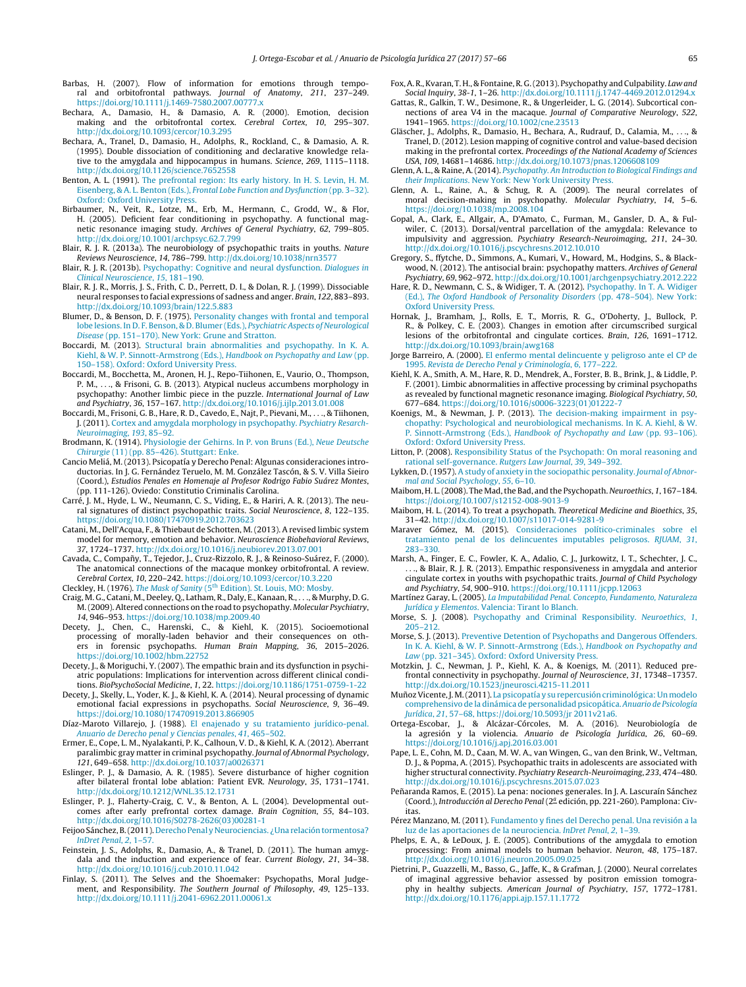- <span id="page-8-0"></span>Barbas, H. (2007). Flow of information for emotions through temporal and orbitofrontal pathways. Journal of Anatomy, 211, 237–249. <https://doi.org/10.1111/j.1469-7580.2007.00777.x>
- Bechara, A., Damasio, H., & Damasio, A. R. (2000). Emotion, decision making and the orbitofrontal cortex. Cerebral Cortex, 10, 295–307. [http://dx.doi.org/10.1093/cercor/10.3.295](dx.doi.org/10.1093/cercor/10.3.295)
- Bechara, A., Tranel, D., Damasio, H., Adolphs, R., Rockland, C., & Damasio, A. R. (1995). Double dissociation of conditioning and declarative knowledge relative to the amygdala and hippocampus in humans. Science, 269, 1115–1118. [http://dx.doi.org/10.1126/science.7652558](dx.doi.org/10.1126/science.7652558)
- Benton, A. L. (1991). [The](http://refhub.elsevier.com/S1133-0740(17)30017-X/sbref0060) [prefrontal](http://refhub.elsevier.com/S1133-0740(17)30017-X/sbref0060) [region:](http://refhub.elsevier.com/S1133-0740(17)30017-X/sbref0060) [Its](http://refhub.elsevier.com/S1133-0740(17)30017-X/sbref0060) [early](http://refhub.elsevier.com/S1133-0740(17)30017-X/sbref0060) [history.](http://refhub.elsevier.com/S1133-0740(17)30017-X/sbref0060) [In](http://refhub.elsevier.com/S1133-0740(17)30017-X/sbref0060) [H.](http://refhub.elsevier.com/S1133-0740(17)30017-X/sbref0060) [S.](http://refhub.elsevier.com/S1133-0740(17)30017-X/sbref0060) [Levin,](http://refhub.elsevier.com/S1133-0740(17)30017-X/sbref0060) [H.](http://refhub.elsevier.com/S1133-0740(17)30017-X/sbref0060) [M.](http://refhub.elsevier.com/S1133-0740(17)30017-X/sbref0060) [Eisenberg,](http://refhub.elsevier.com/S1133-0740(17)30017-X/sbref0060) [&](http://refhub.elsevier.com/S1133-0740(17)30017-X/sbref0060) [A.](http://refhub.elsevier.com/S1133-0740(17)30017-X/sbref0060) [L.](http://refhub.elsevier.com/S1133-0740(17)30017-X/sbref0060) [Benton](http://refhub.elsevier.com/S1133-0740(17)30017-X/sbref0060) [\(Eds.\),](http://refhub.elsevier.com/S1133-0740(17)30017-X/sbref0060) [Frontal](http://refhub.elsevier.com/S1133-0740(17)30017-X/sbref0060) [Lobe](http://refhub.elsevier.com/S1133-0740(17)30017-X/sbref0060) [Function](http://refhub.elsevier.com/S1133-0740(17)30017-X/sbref0060) [and](http://refhub.elsevier.com/S1133-0740(17)30017-X/sbref0060) [Dysfunction](http://refhub.elsevier.com/S1133-0740(17)30017-X/sbref0060) [\(pp.](http://refhub.elsevier.com/S1133-0740(17)30017-X/sbref0060) [3–32\).](http://refhub.elsevier.com/S1133-0740(17)30017-X/sbref0060) [Oxford:](http://refhub.elsevier.com/S1133-0740(17)30017-X/sbref0060) [Oxford](http://refhub.elsevier.com/S1133-0740(17)30017-X/sbref0060) [University](http://refhub.elsevier.com/S1133-0740(17)30017-X/sbref0060) [Press.](http://refhub.elsevier.com/S1133-0740(17)30017-X/sbref0060)
- Birbaumer, N., Veit, R., Lotze, M., Erb, M., Hermann, C., Grodd, W., & Flor, H. (2005). Deficient fear conditioning in psychopathy. A functional magnetic resonance imaging study. Archives of General Psychiatry, 62, 799–805. [http://dx.doi.org/10.1001/archpsyc.62.7.799](dx.doi.org/10.1001/archpsyc.62.7.799)
- Blair, R. J. R. (2013a). The neurobiology of psychopathic traits in youths. Nature Reviews Neuroscience, 14, 786–799. [http://dx.doi.org/10.1038/nrn3577](dx.doi.org/10.1038/nrn3577)
- Blair, R. J. R. (2013b). [Psychopathy:](http://refhub.elsevier.com/S1133-0740(17)30017-X/sbref0075) [Cognitive](http://refhub.elsevier.com/S1133-0740(17)30017-X/sbref0075) [and](http://refhub.elsevier.com/S1133-0740(17)30017-X/sbref0075) [neural](http://refhub.elsevier.com/S1133-0740(17)30017-X/sbref0075) [dysfunction.](http://refhub.elsevier.com/S1133-0740(17)30017-X/sbref0075) [Dialogues](http://refhub.elsevier.com/S1133-0740(17)30017-X/sbref0075) [in](http://refhub.elsevier.com/S1133-0740(17)30017-X/sbref0075) [Clinical](http://refhub.elsevier.com/S1133-0740(17)30017-X/sbref0075) [Neuroscience](http://refhub.elsevier.com/S1133-0740(17)30017-X/sbref0075)[,](http://refhub.elsevier.com/S1133-0740(17)30017-X/sbref0075) [15](http://refhub.elsevier.com/S1133-0740(17)30017-X/sbref0075)[,](http://refhub.elsevier.com/S1133-0740(17)30017-X/sbref0075) [181–190.](http://refhub.elsevier.com/S1133-0740(17)30017-X/sbref0075)
- Blair, R. J. R., Morris, J. S., Frith, C. D., Perrett, D. I., & Dolan, R. J. (1999). Dissociable neural responses to facial expressions of sadness and anger. Brain, 122, 883–893. [http://dx.doi.org/10.1093/brain/122.5.883](dx.doi.org/10.1093/brain/122.5.883)
- Blumer, D., & Benson, D. F. (1975). [Personality](http://refhub.elsevier.com/S1133-0740(17)30017-X/sbref0085) [changes](http://refhub.elsevier.com/S1133-0740(17)30017-X/sbref0085) [with](http://refhub.elsevier.com/S1133-0740(17)30017-X/sbref0085) [frontal](http://refhub.elsevier.com/S1133-0740(17)30017-X/sbref0085) [and](http://refhub.elsevier.com/S1133-0740(17)30017-X/sbref0085) [temporal](http://refhub.elsevier.com/S1133-0740(17)30017-X/sbref0085) [lobe](http://refhub.elsevier.com/S1133-0740(17)30017-X/sbref0085) [lesions.](http://refhub.elsevier.com/S1133-0740(17)30017-X/sbref0085) [In](http://refhub.elsevier.com/S1133-0740(17)30017-X/sbref0085) [D.](http://refhub.elsevier.com/S1133-0740(17)30017-X/sbref0085) [F.](http://refhub.elsevier.com/S1133-0740(17)30017-X/sbref0085) [Benson,](http://refhub.elsevier.com/S1133-0740(17)30017-X/sbref0085) [&](http://refhub.elsevier.com/S1133-0740(17)30017-X/sbref0085) [D.](http://refhub.elsevier.com/S1133-0740(17)30017-X/sbref0085) [Blumer](http://refhub.elsevier.com/S1133-0740(17)30017-X/sbref0085) [\(Eds.\),](http://refhub.elsevier.com/S1133-0740(17)30017-X/sbref0085) [Psychiatric](http://refhub.elsevier.com/S1133-0740(17)30017-X/sbref0085) [Aspects](http://refhub.elsevier.com/S1133-0740(17)30017-X/sbref0085) [of](http://refhub.elsevier.com/S1133-0740(17)30017-X/sbref0085) [Neurological](http://refhub.elsevier.com/S1133-0740(17)30017-X/sbref0085) [Disease](http://refhub.elsevier.com/S1133-0740(17)30017-X/sbref0085) [\(pp.](http://refhub.elsevier.com/S1133-0740(17)30017-X/sbref0085) [151](http://refhub.elsevier.com/S1133-0740(17)30017-X/sbref0085)–[170\).](http://refhub.elsevier.com/S1133-0740(17)30017-X/sbref0085) [New](http://refhub.elsevier.com/S1133-0740(17)30017-X/sbref0085) [York:](http://refhub.elsevier.com/S1133-0740(17)30017-X/sbref0085) [Grune](http://refhub.elsevier.com/S1133-0740(17)30017-X/sbref0085) [and](http://refhub.elsevier.com/S1133-0740(17)30017-X/sbref0085) [Stratton.](http://refhub.elsevier.com/S1133-0740(17)30017-X/sbref0085)
- Boccardi, M. (2013). [Structural](http://refhub.elsevier.com/S1133-0740(17)30017-X/sbref0090) [brain](http://refhub.elsevier.com/S1133-0740(17)30017-X/sbref0090) [abnormalities](http://refhub.elsevier.com/S1133-0740(17)30017-X/sbref0090) [and](http://refhub.elsevier.com/S1133-0740(17)30017-X/sbref0090) [psychopathy.](http://refhub.elsevier.com/S1133-0740(17)30017-X/sbref0090) [In](http://refhub.elsevier.com/S1133-0740(17)30017-X/sbref0090) [K.](http://refhub.elsevier.com/S1133-0740(17)30017-X/sbref0090) [A.](http://refhub.elsevier.com/S1133-0740(17)30017-X/sbref0090) [Kiehl,](http://refhub.elsevier.com/S1133-0740(17)30017-X/sbref0090) [&](http://refhub.elsevier.com/S1133-0740(17)30017-X/sbref0090) [W.](http://refhub.elsevier.com/S1133-0740(17)30017-X/sbref0090) [P.](http://refhub.elsevier.com/S1133-0740(17)30017-X/sbref0090) [Sinnott-Armstrong](http://refhub.elsevier.com/S1133-0740(17)30017-X/sbref0090) [\(Eds.\),](http://refhub.elsevier.com/S1133-0740(17)30017-X/sbref0090) [Handbook](http://refhub.elsevier.com/S1133-0740(17)30017-X/sbref0090) [on](http://refhub.elsevier.com/S1133-0740(17)30017-X/sbref0090) [Psychopathy](http://refhub.elsevier.com/S1133-0740(17)30017-X/sbref0090) [and](http://refhub.elsevier.com/S1133-0740(17)30017-X/sbref0090) [Law](http://refhub.elsevier.com/S1133-0740(17)30017-X/sbref0090) [\(pp.](http://refhub.elsevier.com/S1133-0740(17)30017-X/sbref0090) [150](http://refhub.elsevier.com/S1133-0740(17)30017-X/sbref0090)–[158\).](http://refhub.elsevier.com/S1133-0740(17)30017-X/sbref0090) [Oxford:](http://refhub.elsevier.com/S1133-0740(17)30017-X/sbref0090) [Oxford](http://refhub.elsevier.com/S1133-0740(17)30017-X/sbref0090) [University](http://refhub.elsevier.com/S1133-0740(17)30017-X/sbref0090) [Press.](http://refhub.elsevier.com/S1133-0740(17)30017-X/sbref0090)
- Boccardi, M., Bocchetta, M., Aronen, H. J., Repo-Tiihonen, E., Vaurio, O., Thompson, P. M., . . ., & Frisoni, G. B. (2013). Atypical nucleus accumbens morphology in psychopathy: Another limbic piece in the puzzle. International Journal of Law and Psychiatry, 36, 157–167. [http://dx.doi.org/10.1016/j.ijlp.2013.01.008](dx.doi.org/10.1016/j.ijlp.2013.01.008)
- Boccardi, M., Frisoni, G. B., Hare, R. D., Cavedo, E., Najt, P., Pievani, M., . . ., & Tiihonen, J. (2011). [Cortex](http://refhub.elsevier.com/S1133-0740(17)30017-X/sbref0100) [and](http://refhub.elsevier.com/S1133-0740(17)30017-X/sbref0100) [amygdala](http://refhub.elsevier.com/S1133-0740(17)30017-X/sbref0100) [morphology](http://refhub.elsevier.com/S1133-0740(17)30017-X/sbref0100) [in](http://refhub.elsevier.com/S1133-0740(17)30017-X/sbref0100) [psychopathy.](http://refhub.elsevier.com/S1133-0740(17)30017-X/sbref0100) [Psychiatry](http://refhub.elsevier.com/S1133-0740(17)30017-X/sbref0100) [Resarch-](http://refhub.elsevier.com/S1133-0740(17)30017-X/sbref0100)[Neuroimaging](http://refhub.elsevier.com/S1133-0740(17)30017-X/sbref0100), [193](http://refhub.elsevier.com/S1133-0740(17)30017-X/sbref0100)[,](http://refhub.elsevier.com/S1133-0740(17)30017-X/sbref0100) [85–92.](http://refhub.elsevier.com/S1133-0740(17)30017-X/sbref0100)
- Brodmann, K. (1914). [Physiologie](http://refhub.elsevier.com/S1133-0740(17)30017-X/sbref0105) [der](http://refhub.elsevier.com/S1133-0740(17)30017-X/sbref0105) [Gehirns.](http://refhub.elsevier.com/S1133-0740(17)30017-X/sbref0105) [In](http://refhub.elsevier.com/S1133-0740(17)30017-X/sbref0105) [P.](http://refhub.elsevier.com/S1133-0740(17)30017-X/sbref0105) [von](http://refhub.elsevier.com/S1133-0740(17)30017-X/sbref0105) [Bruns](http://refhub.elsevier.com/S1133-0740(17)30017-X/sbref0105) [\(Ed.\),](http://refhub.elsevier.com/S1133-0740(17)30017-X/sbref0105) [Neue](http://refhub.elsevier.com/S1133-0740(17)30017-X/sbref0105) [Deutsche](http://refhub.elsevier.com/S1133-0740(17)30017-X/sbref0105) [Chirurgie](http://refhub.elsevier.com/S1133-0740(17)30017-X/sbref0105) [\(11\)](http://refhub.elsevier.com/S1133-0740(17)30017-X/sbref0105) [\(pp.](http://refhub.elsevier.com/S1133-0740(17)30017-X/sbref0105) [85](http://refhub.elsevier.com/S1133-0740(17)30017-X/sbref0105)–[426\).](http://refhub.elsevier.com/S1133-0740(17)30017-X/sbref0105) [Stuttgart:](http://refhub.elsevier.com/S1133-0740(17)30017-X/sbref0105) [Enke.](http://refhub.elsevier.com/S1133-0740(17)30017-X/sbref0105)
- Cancio Meliá, M. (2013). Psicopatía y Derecho Penal: Algunas consideraciones introductorias. In J. G. Fernández Teruelo, M. M. González Tascón, & S. V. Villa Sieiro (Coord.), Estudios Penales en Homenaje al Profesor Rodrigo Fabio Suárez Montes, (pp. 111-126). Oviedo: Constitutio Criminalis Carolina.
- Carré, J. M., Hyde, J., W., Neumann, C. S., Viding, E., & Hariri, A. R. (2013). The neural signatures of distinct psychopathic traits. Social Neuroscience, 8, 122–135. <https://doi.org/10.1080/17470919.2012.703623>
- Catani, M., Dell'Acqua, F., & Thiebaut de Schotten, M. (2013). A revised limbic system model for memory, emotion and behavior. Neuroscience Biobehavioral Reviews, 37, 1724–1737. [http://dx.doi.org/10.1016/j.neubiorev.2013.07.001](dx.doi.org/10.1016/j.neubiorev.2013.07.001)
- Cavada, C., Compañy, T., Tejedor, J., Cruz-Rizzolo, R. J., & Reinoso-Suárez, F. (2000). The anatomical connections of the macaque monkey orbitofrontal. A review. Cerebral Cortex, 10, 220–242. <https://doi.org/10.1093/cercor/10.3.220> Cleckley, H. (1976). [The](http://refhub.elsevier.com/S1133-0740(17)30017-X/sbref0130) [Mask](http://refhub.elsevier.com/S1133-0740(17)30017-X/sbref0130) [of](http://refhub.elsevier.com/S1133-0740(17)30017-X/sbref0130) [Sanity](http://refhub.elsevier.com/S1133-0740(17)30017-X/sbref0130) [\(5](http://refhub.elsevier.com/S1133-0740(17)30017-X/sbref0130)[th](http://refhub.elsevier.com/S1133-0740(17)30017-X/sbref0130) [Edition\).](http://refhub.elsevier.com/S1133-0740(17)30017-X/sbref0130) [St.](http://refhub.elsevier.com/S1133-0740(17)30017-X/sbref0130) [Louis,](http://refhub.elsevier.com/S1133-0740(17)30017-X/sbref0130) [MO:](http://refhub.elsevier.com/S1133-0740(17)30017-X/sbref0130) [Mosby.](http://refhub.elsevier.com/S1133-0740(17)30017-X/sbref0130)
- Craig, M. G., Catani, M., Deeley, Q., Latham, R., Daly, E., Kanaan, R., . . ., & Murphy, D. G.
- M.(2009). Altered connections on the road to psychopathy. Molecular Psychiatry, 14, 946–953. <https://doi.org/10.1038/mp.2009.40>
- Decety, J., Chen, C., Harenski, C., & Kiehl, K. (2015). Socioemotional processing of morally-laden behavior and their consequences on others in forensic psychopaths. Human Brain Mapping, 36, 2015–2026. <https://doi.org/10.1002/hbm.22752>
- Decety, J., & Moriguchi, Y. (2007). The empathic brain and its dysfunction in psychiatric populations: Implications for intervention across different clinical conditions. BioPsychoSocial Medicine, 1, 22. <https://doi.org/10.1186/1751-0759-1-22>
- Decety, J., Skelly, L., Yoder, K. J., & Kiehl, K. A. (2014). Neural processing of dynamic emotional facial expressions in psychopaths. Social Neuroscience, 9, 36–49. <https://doi.org/10.1080/17470919.2013.866905>
- Díaz-Maroto Villarejo, J. (1988). [El](http://refhub.elsevier.com/S1133-0740(17)30017-X/sbref0155) [enajenado](http://refhub.elsevier.com/S1133-0740(17)30017-X/sbref0155) [y](http://refhub.elsevier.com/S1133-0740(17)30017-X/sbref0155) [su](http://refhub.elsevier.com/S1133-0740(17)30017-X/sbref0155) [tratamiento](http://refhub.elsevier.com/S1133-0740(17)30017-X/sbref0155) [jurídico-penal.](http://refhub.elsevier.com/S1133-0740(17)30017-X/sbref0155) [Anuario](http://refhub.elsevier.com/S1133-0740(17)30017-X/sbref0155) [de](http://refhub.elsevier.com/S1133-0740(17)30017-X/sbref0155) [Derecho](http://refhub.elsevier.com/S1133-0740(17)30017-X/sbref0155) [penal](http://refhub.elsevier.com/S1133-0740(17)30017-X/sbref0155) [y](http://refhub.elsevier.com/S1133-0740(17)30017-X/sbref0155) [Ciencias](http://refhub.elsevier.com/S1133-0740(17)30017-X/sbref0155) [penales](http://refhub.elsevier.com/S1133-0740(17)30017-X/sbref0155)[,](http://refhub.elsevier.com/S1133-0740(17)30017-X/sbref0155) [41](http://refhub.elsevier.com/S1133-0740(17)30017-X/sbref0155)[,](http://refhub.elsevier.com/S1133-0740(17)30017-X/sbref0155) [465–502.](http://refhub.elsevier.com/S1133-0740(17)30017-X/sbref0155)
- Ermer, E., Cope, L. M., Nyalakanti, P. K., Calhoun, V. D., & Kiehl, K. A. (2012). Aberrant paralimbic gray matter in criminal psychopathy. Journal of Abnormal Psychology, 121, 649–658. [http://dx.doi.org/10.1037/a0026371](dx.doi.org/10.1037/a0026371)
- Eslinger, P. J., & Damasio, A. R. (1985). Severe disturbance of higher cognition after bilateral frontal lobe ablation: Patient EVR. Neurology, 35, 1731–1741. [http://dx.doi.org/10.1212/WNL.35.12.1731](dx.doi.org/10.1212/WNL.35.12.1731)
- Eslinger, P. J., Flaherty-Craig, C. V., & Benton, A. L. (2004). Developmental outcomes after early prefrontal cortex damage. Brain Cognition, 55, 84–103. [http://dx.doi.org/10.1016/S0278-2626\(03\)00281-1](dx.doi.org/10.1016/S0278-2626(03)00281-1)
- Feijoo Sánchez, B. (2011). [Derecho](http://refhub.elsevier.com/S1133-0740(17)30017-X/sbref0175) [Penal](http://refhub.elsevier.com/S1133-0740(17)30017-X/sbref0175) [y](http://refhub.elsevier.com/S1133-0740(17)30017-X/sbref0175) [Neurociencias.](http://refhub.elsevier.com/S1133-0740(17)30017-X/sbref0175) [¿Una](http://refhub.elsevier.com/S1133-0740(17)30017-X/sbref0175) relación tormentosa? [InDret](http://refhub.elsevier.com/S1133-0740(17)30017-X/sbref0175) [Penal](http://refhub.elsevier.com/S1133-0740(17)30017-X/sbref0175)[,](http://refhub.elsevier.com/S1133-0740(17)30017-X/sbref0175) [2](http://refhub.elsevier.com/S1133-0740(17)30017-X/sbref0175)[,](http://refhub.elsevier.com/S1133-0740(17)30017-X/sbref0175) [1–57.](http://refhub.elsevier.com/S1133-0740(17)30017-X/sbref0175)
- Feinstein, J. S., Adolphs, R., Damasio, A., & Tranel, D. (2011). The human amygdala and the induction and experience of fear. Current Biology, 21, 34–38. [http://dx.doi.org/10.1016/j.cub.2010.11.042](dx.doi.org/10.1016/j.cub.2010.11.042)
- Finlay, S. (2011). The Selves and the Shoemaker: Psychopaths, Moral Judgement, and Responsibility. The Southern Journal of Philosophy, 49, 125–133. [http://dx.doi.org/10.1111/j.2041-6962.2011.00061.x](dx.doi.org/10.1111/j.2041-6962.2011.00061.x)
- Fox,A.R.,Kvaran, T. H., & Fontaine,R. G.(2013). Psychopathy and Culpability. Law and Social Inquiry, 38-1, 1–26. [http://dx.doi.org/10.1111/j.1747-4469.2012.01294.x](dx.doi.org/10.1111/j.1747-4469.2012.01294.x)
- Gattas, R., Galkin, T. W., Desimone, R., & Ungerleider, L. G. (2014). Subcortical connections of area V4 in the macaque. Journal of Comparative Neurology, 522, 1941–1965. <https://doi.org/10.1002/cne.23513>
- Gläscher, J., Adolphs, R., Damasio, H., Bechara, A., Rudrauf, D., Calamia, M., . . ., & Tranel, D. (2012). Lesion mapping of cognitive control and value-based decision making in the prefrontal cortex. Proceedings of the National Academy of Sciences USA, 109, 14681–14686. [http://dx.doi.org/10.1073/pnas.1206608109](dx.doi.org/10.1073/pnas.1206608109)

Glenn, A. L., & Raine, A. (2014). [Psychopathy.](http://refhub.elsevier.com/S1133-0740(17)30017-X/sbref0205) [An](http://refhub.elsevier.com/S1133-0740(17)30017-X/sbref0205) [Introduction](http://refhub.elsevier.com/S1133-0740(17)30017-X/sbref0205) [to](http://refhub.elsevier.com/S1133-0740(17)30017-X/sbref0205) [Biological](http://refhub.elsevier.com/S1133-0740(17)30017-X/sbref0205) [Findings](http://refhub.elsevier.com/S1133-0740(17)30017-X/sbref0205) [and](http://refhub.elsevier.com/S1133-0740(17)30017-X/sbref0205) [their](http://refhub.elsevier.com/S1133-0740(17)30017-X/sbref0205) [Implications](http://refhub.elsevier.com/S1133-0740(17)30017-X/sbref0205)[.](http://refhub.elsevier.com/S1133-0740(17)30017-X/sbref0205) [New](http://refhub.elsevier.com/S1133-0740(17)30017-X/sbref0205) [York:](http://refhub.elsevier.com/S1133-0740(17)30017-X/sbref0205) [New](http://refhub.elsevier.com/S1133-0740(17)30017-X/sbref0205) [York](http://refhub.elsevier.com/S1133-0740(17)30017-X/sbref0205) [University](http://refhub.elsevier.com/S1133-0740(17)30017-X/sbref0205) [Press.](http://refhub.elsevier.com/S1133-0740(17)30017-X/sbref0205)

- Glenn, A. L., Raine, A., & Schug, R. A. (2009). The neural correlates of moral decision-making in psychopathy. Molecular Psychiatry, 14, 5–6. <https://doi.org/10.1038/mp.2008.104>
- Gopal, A., Clark, E., Allgair, A., D'Amato, C., Furman, M., Gansler, D. A., & Fulwiler, C. (2013). Dorsal/ventral parcellation of the amygdala: Relevance to impulsivity and aggression. Psychiatry Research-Neuroimaging, 211, 24–30. [http://dx.doi.org/10.1016/j.pscychresns.2012.10.010](dx.doi.org/10.1016/j.pscychresns.2012.10.010)
- Gregory, S., ffytche, D., Simmons, A., Kumari, V., Howard, M., Hodgins, S., & Blackwood, N. (2012). The antisocial brain: psychopathy matters. Archives of General Psychiatry, 69, 962–972. <http://dx.doi.org/10.1001/archgenpsychiatry.2012.222>
- Hare, R. D., Newmann, C. S., & Widiger, T. A. (2012). [Psychopathy.](http://refhub.elsevier.com/S1133-0740(17)30017-X/sbref0225) [In](http://refhub.elsevier.com/S1133-0740(17)30017-X/sbref0225) [T.](http://refhub.elsevier.com/S1133-0740(17)30017-X/sbref0225) [A.](http://refhub.elsevier.com/S1133-0740(17)30017-X/sbref0225) [Widiger](http://refhub.elsevier.com/S1133-0740(17)30017-X/sbref0225) [\(Ed.\),](http://refhub.elsevier.com/S1133-0740(17)30017-X/sbref0225) [The](http://refhub.elsevier.com/S1133-0740(17)30017-X/sbref0225) [Oxford](http://refhub.elsevier.com/S1133-0740(17)30017-X/sbref0225) [Handbook](http://refhub.elsevier.com/S1133-0740(17)30017-X/sbref0225) [of](http://refhub.elsevier.com/S1133-0740(17)30017-X/sbref0225) [Personality](http://refhub.elsevier.com/S1133-0740(17)30017-X/sbref0225) [Disorders](http://refhub.elsevier.com/S1133-0740(17)30017-X/sbref0225) [\(pp.](http://refhub.elsevier.com/S1133-0740(17)30017-X/sbref0225) [478–504\).](http://refhub.elsevier.com/S1133-0740(17)30017-X/sbref0225) [New](http://refhub.elsevier.com/S1133-0740(17)30017-X/sbref0225) [York:](http://refhub.elsevier.com/S1133-0740(17)30017-X/sbref0225) [Oxford](http://refhub.elsevier.com/S1133-0740(17)30017-X/sbref0225) [University](http://refhub.elsevier.com/S1133-0740(17)30017-X/sbref0225) [Press.](http://refhub.elsevier.com/S1133-0740(17)30017-X/sbref0225)
- Hornak, J., Bramham, J., Rolls, E. T., Morris, R. G., O'Doherty, J., Bullock, P. R., & Polkey, C. E. (2003). Changes in emotion after circumscribed surgical lesions of the orbitofrontal and cingulate cortices. Brain, 126, 1691–1712. [http://dx.doi.org/10.1093/brain/awg168](dx.doi.org/10.1093/brain/awg168)
- Jorge Barreiro, A. (2000). [El](http://refhub.elsevier.com/S1133-0740(17)30017-X/sbref0235) [enfermo](http://refhub.elsevier.com/S1133-0740(17)30017-X/sbref0235) [mental](http://refhub.elsevier.com/S1133-0740(17)30017-X/sbref0235) [delincuente](http://refhub.elsevier.com/S1133-0740(17)30017-X/sbref0235) [y](http://refhub.elsevier.com/S1133-0740(17)30017-X/sbref0235) [peligroso](http://refhub.elsevier.com/S1133-0740(17)30017-X/sbref0235) [ante](http://refhub.elsevier.com/S1133-0740(17)30017-X/sbref0235) [el](http://refhub.elsevier.com/S1133-0740(17)30017-X/sbref0235) [CP](http://refhub.elsevier.com/S1133-0740(17)30017-X/sbref0235) [de](http://refhub.elsevier.com/S1133-0740(17)30017-X/sbref0235) [1995.](http://refhub.elsevier.com/S1133-0740(17)30017-X/sbref0235) [Revista](http://refhub.elsevier.com/S1133-0740(17)30017-X/sbref0235) [de](http://refhub.elsevier.com/S1133-0740(17)30017-X/sbref0235) [Derecho](http://refhub.elsevier.com/S1133-0740(17)30017-X/sbref0235) [Penal](http://refhub.elsevier.com/S1133-0740(17)30017-X/sbref0235) [y](http://refhub.elsevier.com/S1133-0740(17)30017-X/sbref0235) [Criminología](http://refhub.elsevier.com/S1133-0740(17)30017-X/sbref0235)[,](http://refhub.elsevier.com/S1133-0740(17)30017-X/sbref0235) [6](http://refhub.elsevier.com/S1133-0740(17)30017-X/sbref0235)[,](http://refhub.elsevier.com/S1133-0740(17)30017-X/sbref0235) [177–222.](http://refhub.elsevier.com/S1133-0740(17)30017-X/sbref0235)
- Kiehl, K. A., Smith, A. M., Hare, R. D., Mendrek, A., Forster, B. B., Brink, J., & Liddle, P. F. (2001). Limbic abnormalities in affective processing by criminal psychopaths as revealed by functional magnetic resonance imaging. Biological Psychiatry, 50, 677–684. [https://doi.org/10.1016/s0006-3223\(01\)01222-7](https://doi.org/10.1016/s0006-3223(01)01222-7)
- Koenigs, M., & Newman, J. P. (2013). [The](http://refhub.elsevier.com/S1133-0740(17)30017-X/sbref0245) [decision-making](http://refhub.elsevier.com/S1133-0740(17)30017-X/sbref0245) [impairment](http://refhub.elsevier.com/S1133-0740(17)30017-X/sbref0245) [in](http://refhub.elsevier.com/S1133-0740(17)30017-X/sbref0245) [psy](http://refhub.elsevier.com/S1133-0740(17)30017-X/sbref0245)[chopathy:](http://refhub.elsevier.com/S1133-0740(17)30017-X/sbref0245) [Psychological](http://refhub.elsevier.com/S1133-0740(17)30017-X/sbref0245) [and](http://refhub.elsevier.com/S1133-0740(17)30017-X/sbref0245) [neurobiological](http://refhub.elsevier.com/S1133-0740(17)30017-X/sbref0245) [mechanisms.](http://refhub.elsevier.com/S1133-0740(17)30017-X/sbref0245) [In](http://refhub.elsevier.com/S1133-0740(17)30017-X/sbref0245) [K.](http://refhub.elsevier.com/S1133-0740(17)30017-X/sbref0245) [A.](http://refhub.elsevier.com/S1133-0740(17)30017-X/sbref0245) [Kiehl,](http://refhub.elsevier.com/S1133-0740(17)30017-X/sbref0245) [&](http://refhub.elsevier.com/S1133-0740(17)30017-X/sbref0245) [W.](http://refhub.elsevier.com/S1133-0740(17)30017-X/sbref0245) [P.](http://refhub.elsevier.com/S1133-0740(17)30017-X/sbref0245) [Sinnott-Armstrong](http://refhub.elsevier.com/S1133-0740(17)30017-X/sbref0245) [\(Eds.\),](http://refhub.elsevier.com/S1133-0740(17)30017-X/sbref0245) [Handbook](http://refhub.elsevier.com/S1133-0740(17)30017-X/sbref0245) [of](http://refhub.elsevier.com/S1133-0740(17)30017-X/sbref0245) [Psychopathy](http://refhub.elsevier.com/S1133-0740(17)30017-X/sbref0245) [and](http://refhub.elsevier.com/S1133-0740(17)30017-X/sbref0245) [Law](http://refhub.elsevier.com/S1133-0740(17)30017-X/sbref0245) [\(pp.](http://refhub.elsevier.com/S1133-0740(17)30017-X/sbref0245) [93](http://refhub.elsevier.com/S1133-0740(17)30017-X/sbref0245)–[106\).](http://refhub.elsevier.com/S1133-0740(17)30017-X/sbref0245) [Oxford:](http://refhub.elsevier.com/S1133-0740(17)30017-X/sbref0245) [Oxford](http://refhub.elsevier.com/S1133-0740(17)30017-X/sbref0245) [University](http://refhub.elsevier.com/S1133-0740(17)30017-X/sbref0245) [Press.](http://refhub.elsevier.com/S1133-0740(17)30017-X/sbref0245)
- Litton, P. (2008). [Responsibility](http://refhub.elsevier.com/S1133-0740(17)30017-X/sbref0250) [Status](http://refhub.elsevier.com/S1133-0740(17)30017-X/sbref0250) [of](http://refhub.elsevier.com/S1133-0740(17)30017-X/sbref0250) [the](http://refhub.elsevier.com/S1133-0740(17)30017-X/sbref0250) [Psychopath:](http://refhub.elsevier.com/S1133-0740(17)30017-X/sbref0250) [On](http://refhub.elsevier.com/S1133-0740(17)30017-X/sbref0250) [moral](http://refhub.elsevier.com/S1133-0740(17)30017-X/sbref0250) [reasoning](http://refhub.elsevier.com/S1133-0740(17)30017-X/sbref0250) [and](http://refhub.elsevier.com/S1133-0740(17)30017-X/sbref0250) [rational](http://refhub.elsevier.com/S1133-0740(17)30017-X/sbref0250) [self-governance.](http://refhub.elsevier.com/S1133-0740(17)30017-X/sbref0250) [Rutgers](http://refhub.elsevier.com/S1133-0740(17)30017-X/sbref0250) [Law](http://refhub.elsevier.com/S1133-0740(17)30017-X/sbref0250) [Journal](http://refhub.elsevier.com/S1133-0740(17)30017-X/sbref0250)[,](http://refhub.elsevier.com/S1133-0740(17)30017-X/sbref0250) [39](http://refhub.elsevier.com/S1133-0740(17)30017-X/sbref0250)[,](http://refhub.elsevier.com/S1133-0740(17)30017-X/sbref0250) [349–392.](http://refhub.elsevier.com/S1133-0740(17)30017-X/sbref0250)
- Lykken, D. (1957). [A](http://refhub.elsevier.com/S1133-0740(17)30017-X/sbref0255) [study](http://refhub.elsevier.com/S1133-0740(17)30017-X/sbref0255) [of](http://refhub.elsevier.com/S1133-0740(17)30017-X/sbref0255) [anxiety](http://refhub.elsevier.com/S1133-0740(17)30017-X/sbref0255) [in](http://refhub.elsevier.com/S1133-0740(17)30017-X/sbref0255) [the](http://refhub.elsevier.com/S1133-0740(17)30017-X/sbref0255) [sociopathic](http://refhub.elsevier.com/S1133-0740(17)30017-X/sbref0255) [personality.](http://refhub.elsevier.com/S1133-0740(17)30017-X/sbref0255) [Journal](http://refhub.elsevier.com/S1133-0740(17)30017-X/sbref0255) [of](http://refhub.elsevier.com/S1133-0740(17)30017-X/sbref0255) [Abnor](http://refhub.elsevier.com/S1133-0740(17)30017-X/sbref0255)[mal](http://refhub.elsevier.com/S1133-0740(17)30017-X/sbref0255) [and](http://refhub.elsevier.com/S1133-0740(17)30017-X/sbref0255) [Social](http://refhub.elsevier.com/S1133-0740(17)30017-X/sbref0255) [Psychology](http://refhub.elsevier.com/S1133-0740(17)30017-X/sbref0255)[,](http://refhub.elsevier.com/S1133-0740(17)30017-X/sbref0255) [55](http://refhub.elsevier.com/S1133-0740(17)30017-X/sbref0255)[,](http://refhub.elsevier.com/S1133-0740(17)30017-X/sbref0255) [6](http://refhub.elsevier.com/S1133-0740(17)30017-X/sbref0255)–[10.](http://refhub.elsevier.com/S1133-0740(17)30017-X/sbref0255)
- Maibom, H. L. (2008). The Mad, the Bad, and the Psychopath. Neuroethics, 1, 167-184. <https://doi.org/10.1007/s12152-008-9013-9>
- Maibom, H. L. (2014). To treat a psychopath. Theoretical Medicine and Bioethics, 35, 31–42. [http://dx.doi.org/10.1007/s11017-014-9281-9](dx.doi.org/10.1007/s11017-014-9281-9)
- Maraver Gómez, M. (2015). [Consideraciones](http://refhub.elsevier.com/S1133-0740(17)30017-X/sbref0270) [político-criminales](http://refhub.elsevier.com/S1133-0740(17)30017-X/sbref0270) [sobre](http://refhub.elsevier.com/S1133-0740(17)30017-X/sbref0270) [el](http://refhub.elsevier.com/S1133-0740(17)30017-X/sbref0270) [tratamiento](http://refhub.elsevier.com/S1133-0740(17)30017-X/sbref0270) [penal](http://refhub.elsevier.com/S1133-0740(17)30017-X/sbref0270) [de](http://refhub.elsevier.com/S1133-0740(17)30017-X/sbref0270) [los](http://refhub.elsevier.com/S1133-0740(17)30017-X/sbref0270) [delincuentes](http://refhub.elsevier.com/S1133-0740(17)30017-X/sbref0270) [imputables](http://refhub.elsevier.com/S1133-0740(17)30017-X/sbref0270) [peligrosos.](http://refhub.elsevier.com/S1133-0740(17)30017-X/sbref0270) [RJUAM](http://refhub.elsevier.com/S1133-0740(17)30017-X/sbref0270), [31](http://refhub.elsevier.com/S1133-0740(17)30017-X/sbref0270), [283–330.](http://refhub.elsevier.com/S1133-0740(17)30017-X/sbref0270)
- Marsh, A., Finger, E. C., Fowler, K. A., Adalio, C. J., Jurkowitz, I. T., Schechter, J. C., . . ., & Blair, R. J. R. (2013). Empathic responsiveness in amygdala and anterior cingulate cortex in youths with psychopathic traits. Journal of Child Psychology and Psychiatry, 54, 900–910. <https://doi.org/10.1111/jcpp.12063>
- Martínez Garay, L. (2005). [La](http://refhub.elsevier.com/S1133-0740(17)30017-X/sbref0280) [Imputabilidad](http://refhub.elsevier.com/S1133-0740(17)30017-X/sbref0280) [Penal.](http://refhub.elsevier.com/S1133-0740(17)30017-X/sbref0280) [Concepto,](http://refhub.elsevier.com/S1133-0740(17)30017-X/sbref0280) [Fundamento,](http://refhub.elsevier.com/S1133-0740(17)30017-X/sbref0280) [Naturaleza](http://refhub.elsevier.com/S1133-0740(17)30017-X/sbref0280) [Jurídica](http://refhub.elsevier.com/S1133-0740(17)30017-X/sbref0280) [y](http://refhub.elsevier.com/S1133-0740(17)30017-X/sbref0280) [Elementos](http://refhub.elsevier.com/S1133-0740(17)30017-X/sbref0280)[.](http://refhub.elsevier.com/S1133-0740(17)30017-X/sbref0280) [Valencia:](http://refhub.elsevier.com/S1133-0740(17)30017-X/sbref0280) [Tirant](http://refhub.elsevier.com/S1133-0740(17)30017-X/sbref0280) [lo](http://refhub.elsevier.com/S1133-0740(17)30017-X/sbref0280) [Blanch.](http://refhub.elsevier.com/S1133-0740(17)30017-X/sbref0280)
- Morse, S. J. (2008). [Psychopathy](http://refhub.elsevier.com/S1133-0740(17)30017-X/sbref0285) [and](http://refhub.elsevier.com/S1133-0740(17)30017-X/sbref0285) [Criminal](http://refhub.elsevier.com/S1133-0740(17)30017-X/sbref0285) [Responsibility.](http://refhub.elsevier.com/S1133-0740(17)30017-X/sbref0285) [Neuroethics](http://refhub.elsevier.com/S1133-0740(17)30017-X/sbref0285)[,](http://refhub.elsevier.com/S1133-0740(17)30017-X/sbref0285) [1](http://refhub.elsevier.com/S1133-0740(17)30017-X/sbref0285), [205–212.](http://refhub.elsevier.com/S1133-0740(17)30017-X/sbref0285)
- Morse, S. J. (2013). [Preventive](http://refhub.elsevier.com/S1133-0740(17)30017-X/sbref0290) [Detention](http://refhub.elsevier.com/S1133-0740(17)30017-X/sbref0290) [of](http://refhub.elsevier.com/S1133-0740(17)30017-X/sbref0290) [Psychopaths](http://refhub.elsevier.com/S1133-0740(17)30017-X/sbref0290) [and](http://refhub.elsevier.com/S1133-0740(17)30017-X/sbref0290) [Dangerous](http://refhub.elsevier.com/S1133-0740(17)30017-X/sbref0290) [Offenders.](http://refhub.elsevier.com/S1133-0740(17)30017-X/sbref0290) [In](http://refhub.elsevier.com/S1133-0740(17)30017-X/sbref0290) [K.](http://refhub.elsevier.com/S1133-0740(17)30017-X/sbref0290) [A.](http://refhub.elsevier.com/S1133-0740(17)30017-X/sbref0290) [Kiehl,](http://refhub.elsevier.com/S1133-0740(17)30017-X/sbref0290) [&](http://refhub.elsevier.com/S1133-0740(17)30017-X/sbref0290) [W.](http://refhub.elsevier.com/S1133-0740(17)30017-X/sbref0290) [P.](http://refhub.elsevier.com/S1133-0740(17)30017-X/sbref0290) [Sinnott-Armstrong](http://refhub.elsevier.com/S1133-0740(17)30017-X/sbref0290) [\(Eds.\),](http://refhub.elsevier.com/S1133-0740(17)30017-X/sbref0290) [Handbook](http://refhub.elsevier.com/S1133-0740(17)30017-X/sbref0290) [on](http://refhub.elsevier.com/S1133-0740(17)30017-X/sbref0290) [Psychopathy](http://refhub.elsevier.com/S1133-0740(17)30017-X/sbref0290) [and](http://refhub.elsevier.com/S1133-0740(17)30017-X/sbref0290) [Law](http://refhub.elsevier.com/S1133-0740(17)30017-X/sbref0290) [\(pp.](http://refhub.elsevier.com/S1133-0740(17)30017-X/sbref0290) [321](http://refhub.elsevier.com/S1133-0740(17)30017-X/sbref0290)–[345\).](http://refhub.elsevier.com/S1133-0740(17)30017-X/sbref0290) [Oxford:](http://refhub.elsevier.com/S1133-0740(17)30017-X/sbref0290) [Oxford](http://refhub.elsevier.com/S1133-0740(17)30017-X/sbref0290) [University](http://refhub.elsevier.com/S1133-0740(17)30017-X/sbref0290) [Press.](http://refhub.elsevier.com/S1133-0740(17)30017-X/sbref0290)
- Motzkin, J. C., Newman, J. P., Kiehl, K. A., & Koenigs, M. (2011). Reduced prefrontal connectivity in psychopathy. Journal of Neuroscience, 31, 17348–17357. [http://dx.doi.org/10.1523/jneurosci.4215-11.2011](dx.doi.org/10.1523/jneurosci.4215-11.2011)
- Muñoz Vicente, J. M. (2011). La psicopatía [y](http://refhub.elsevier.com/S1133-0740(17)30017-X/sbref0300) su repercusión criminológica: Un modelo [comprehensivo](http://refhub.elsevier.com/S1133-0740(17)30017-X/sbref0300) [de](http://refhub.elsevier.com/S1133-0740(17)30017-X/sbref0300) [la](http://refhub.elsevier.com/S1133-0740(17)30017-X/sbref0300) [dinámica](http://refhub.elsevier.com/S1133-0740(17)30017-X/sbref0300) [de](http://refhub.elsevier.com/S1133-0740(17)30017-X/sbref0300) [personalidad](http://refhub.elsevier.com/S1133-0740(17)30017-X/sbref0300) [psicopática.](http://refhub.elsevier.com/S1133-0740(17)30017-X/sbref0300) [Anuario](http://refhub.elsevier.com/S1133-0740(17)30017-X/sbref0300) [de](http://refhub.elsevier.com/S1133-0740(17)30017-X/sbref0300) [Psicología](http://refhub.elsevier.com/S1133-0740(17)30017-X/sbref0300) [Jurídica](http://refhub.elsevier.com/S1133-0740(17)30017-X/sbref0300)[,](http://refhub.elsevier.com/S1133-0740(17)30017-X/sbref0300) [21](http://refhub.elsevier.com/S1133-0740(17)30017-X/sbref0300)[,](http://refhub.elsevier.com/S1133-0740(17)30017-X/sbref0300) [57](http://refhub.elsevier.com/S1133-0740(17)30017-X/sbref0300)–[68,](http://refhub.elsevier.com/S1133-0740(17)30017-X/sbref0300) [https://doi.org/10.5093/jr](http://refhub.elsevier.com/S1133-0740(17)30017-X/sbref0300) [2011v21a6.](http://refhub.elsevier.com/S1133-0740(17)30017-X/sbref0300)
- Ortega-Escobar, J., & Alcázar-Córcoles, M. A. (2016). Neurobiología de la agresión y la violencia. Anuario de Psicología Jurídica, 26, 60–69. <https://doi.org/10.1016/j.apj.2016.03.001>
- Pape, L. E., Cohn, M. D., Caan, M. W. A., van Wingen, G., van den Brink, W., Veltman, D. J., & Popma, A. (2015). Psychopathic traits in adolescents are associated with higher structural connectivity. Psychiatry Research-Neuroimaging, 233, 474–480. [http://dx.doi.org/10.1016/j.pscychresns.2015.07.023](dx.doi.org/10.1016/j.pscychresns.2015.07.023)
- Peñaranda Ramos, E. (2015). La pena: nociones generales. In J. A. Lascuraín Sánchez (Coord.), Introducción al Derecho Penal (2<sup>ª</sup> edición, pp. 221-260). Pamplona: Civitas.
- Pérez Manzano, M. (2011). [Fundamento](http://refhub.elsevier.com/S1133-0740(17)30017-X/sbref0320) [y](http://refhub.elsevier.com/S1133-0740(17)30017-X/sbref0320) [fines](http://refhub.elsevier.com/S1133-0740(17)30017-X/sbref0320) [del](http://refhub.elsevier.com/S1133-0740(17)30017-X/sbref0320) [Derecho](http://refhub.elsevier.com/S1133-0740(17)30017-X/sbref0320) [penal.](http://refhub.elsevier.com/S1133-0740(17)30017-X/sbref0320) [Una](http://refhub.elsevier.com/S1133-0740(17)30017-X/sbref0320) [revisión](http://refhub.elsevier.com/S1133-0740(17)30017-X/sbref0320) [a](http://refhub.elsevier.com/S1133-0740(17)30017-X/sbref0320) [la](http://refhub.elsevier.com/S1133-0740(17)30017-X/sbref0320) [luz](http://refhub.elsevier.com/S1133-0740(17)30017-X/sbref0320) [de](http://refhub.elsevier.com/S1133-0740(17)30017-X/sbref0320) [las](http://refhub.elsevier.com/S1133-0740(17)30017-X/sbref0320) [aportaciones](http://refhub.elsevier.com/S1133-0740(17)30017-X/sbref0320) [de](http://refhub.elsevier.com/S1133-0740(17)30017-X/sbref0320) [la](http://refhub.elsevier.com/S1133-0740(17)30017-X/sbref0320) [neurociencia.](http://refhub.elsevier.com/S1133-0740(17)30017-X/sbref0320) [InDret](http://refhub.elsevier.com/S1133-0740(17)30017-X/sbref0320) [Penal](http://refhub.elsevier.com/S1133-0740(17)30017-X/sbref0320)[,](http://refhub.elsevier.com/S1133-0740(17)30017-X/sbref0320) [2](http://refhub.elsevier.com/S1133-0740(17)30017-X/sbref0320)[,](http://refhub.elsevier.com/S1133-0740(17)30017-X/sbref0320) [1–39.](http://refhub.elsevier.com/S1133-0740(17)30017-X/sbref0320)
- Phelps, E. A., & LeDoux, J. E. (2005). Contributions of the amygdala to emotion processing: From animal models to human behavior. Neuron, 48, 175–187. [http://dx.doi.org/10.1016/j.neuron.2005.09.025](dx.doi.org/10.1016/j.neuron.2005.09.025)
- Pietrini, P., Guazzelli, M., Basso, G., Jaffe, K., & Grafman, J. (2000). Neural correlates of imaginal aggressive behavior assessed by positron emission tomography in healthy subjects. American Journal of Psychiatry, 157, 1772–1781. [http://dx.doi.org/10.1176/appi.ajp.157.11.1772](dx.doi.org/10.1176/appi.ajp.157.11.1772)